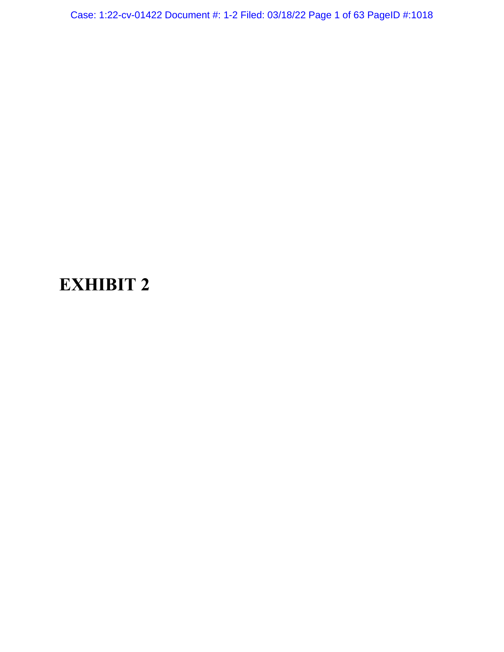Case: 1:22-cv-01422 Document #: 1-2 Filed: 03/18/22 Page 1 of 63 PageID #:1018

# **EXHIBIT 2**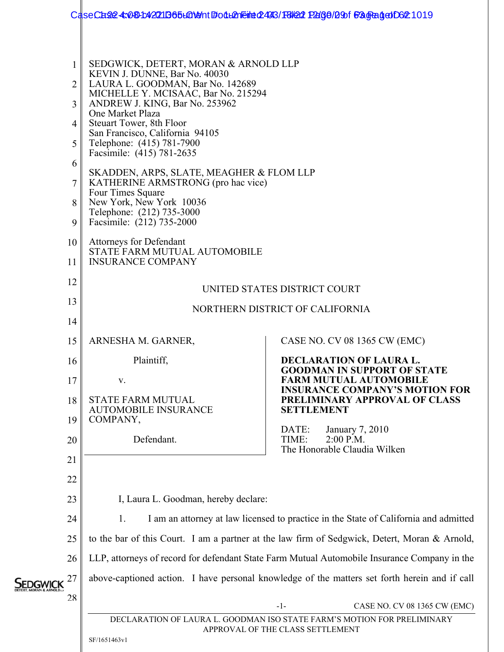|                                                                                                            | CaseCase 4:081:4271B65tGN9nt BodtAnEine043/F8/21 P266/290f BagBagedD62 1019                                                                                                                                                                                                                                                                                                                                                                                                                                                  |                                                                                               |  |
|------------------------------------------------------------------------------------------------------------|------------------------------------------------------------------------------------------------------------------------------------------------------------------------------------------------------------------------------------------------------------------------------------------------------------------------------------------------------------------------------------------------------------------------------------------------------------------------------------------------------------------------------|-----------------------------------------------------------------------------------------------|--|
|                                                                                                            |                                                                                                                                                                                                                                                                                                                                                                                                                                                                                                                              |                                                                                               |  |
| 1<br>$\overline{2}$<br>3 <sup>1</sup><br>4<br>5 <sup>1</sup><br>6<br>7 <sup>1</sup><br>8 <sup>1</sup><br>9 | SEDGWICK, DETERT, MORAN & ARNOLD LLP<br>KEVIN J. DUNNE, Bar No. 40030<br>LAURA L. GOODMAN, Bar No. 142689<br>MICHELLE Y. MCISAAC, Bar No. 215294<br>ANDREW J. KING, Bar No. 253962<br>One Market Plaza<br>Steuart Tower, 8th Floor<br>San Francisco, California 94105<br>Telephone: (415) 781-7900<br>Facsimile: (415) 781-2635<br>SKADDEN, ARPS, SLATE, MEAGHER & FLOM LLP<br>KATHERINE ARMSTRONG (pro hac vice)<br>Four Times Square<br>New York, New York 10036<br>Telephone: (212) 735-3000<br>Facsimile: (212) 735-2000 |                                                                                               |  |
| 10 <sup>1</sup><br>11                                                                                      | Attorneys for Defendant<br>STATE FARM MUTUAL AUTOMOBILE<br><b>INSURANCE COMPANY</b><br>UNITED STATES DISTRICT COURT                                                                                                                                                                                                                                                                                                                                                                                                          |                                                                                               |  |
| 12                                                                                                         |                                                                                                                                                                                                                                                                                                                                                                                                                                                                                                                              |                                                                                               |  |
| 13                                                                                                         |                                                                                                                                                                                                                                                                                                                                                                                                                                                                                                                              | NORTHERN DISTRICT OF CALIFORNIA                                                               |  |
| 14                                                                                                         |                                                                                                                                                                                                                                                                                                                                                                                                                                                                                                                              |                                                                                               |  |
| 15                                                                                                         | ARNESHA M. GARNER,                                                                                                                                                                                                                                                                                                                                                                                                                                                                                                           | CASE NO. CV 08 1365 CW (EMC)                                                                  |  |
| Plaintiff,<br>16                                                                                           |                                                                                                                                                                                                                                                                                                                                                                                                                                                                                                                              | <b>DECLARATION OF LAURA L.</b><br><b>GOODMAN IN SUPPORT OF STATE</b>                          |  |
| 17                                                                                                         | V.                                                                                                                                                                                                                                                                                                                                                                                                                                                                                                                           | <b>FARM MUTUAL AUTOMOBILE</b><br><b>INSURANCE COMPANY'S MOTION FOR</b>                        |  |
| 18                                                                                                         | <b>STATE FARM MUTUAL</b><br><b>AUTOMOBILE INSURANCE</b>                                                                                                                                                                                                                                                                                                                                                                                                                                                                      | PRELIMINARY APPROVAL OF CLASS<br><b>SETTLEMENT</b>                                            |  |
| 19<br>20                                                                                                   | COMPANY,<br>Defendant.                                                                                                                                                                                                                                                                                                                                                                                                                                                                                                       | January 7, 2010<br>DATE:<br>TIME:<br>$2:00$ P.M.<br>The Honorable Claudia Wilken              |  |
| 21                                                                                                         |                                                                                                                                                                                                                                                                                                                                                                                                                                                                                                                              |                                                                                               |  |
| 22                                                                                                         |                                                                                                                                                                                                                                                                                                                                                                                                                                                                                                                              |                                                                                               |  |
| 23                                                                                                         | I, Laura L. Goodman, hereby declare:                                                                                                                                                                                                                                                                                                                                                                                                                                                                                         |                                                                                               |  |
| 24                                                                                                         | 1.                                                                                                                                                                                                                                                                                                                                                                                                                                                                                                                           | I am an attorney at law licensed to practice in the State of California and admitted          |  |
| 25                                                                                                         | to the bar of this Court. I am a partner at the law firm of Sedgwick, Detert, Moran & Arnold,                                                                                                                                                                                                                                                                                                                                                                                                                                |                                                                                               |  |
| 26                                                                                                         |                                                                                                                                                                                                                                                                                                                                                                                                                                                                                                                              | LLP, attorneys of record for defendant State Farm Mutual Automobile Insurance Company in the  |  |
| 27                                                                                                         |                                                                                                                                                                                                                                                                                                                                                                                                                                                                                                                              | above-captioned action. I have personal knowledge of the matters set forth herein and if call |  |
| 28<br>$-1-$<br>CASE NO. CV 08 1365 CW (EMC)                                                                |                                                                                                                                                                                                                                                                                                                                                                                                                                                                                                                              |                                                                                               |  |
|                                                                                                            | DECLARATION OF LAURA L. GOODMAN ISO STATE FARM'S MOTION FOR PRELIMINARY<br>APPROVAL OF THE CLASS SETTLEMENT<br>SF/1651463v1                                                                                                                                                                                                                                                                                                                                                                                                  |                                                                                               |  |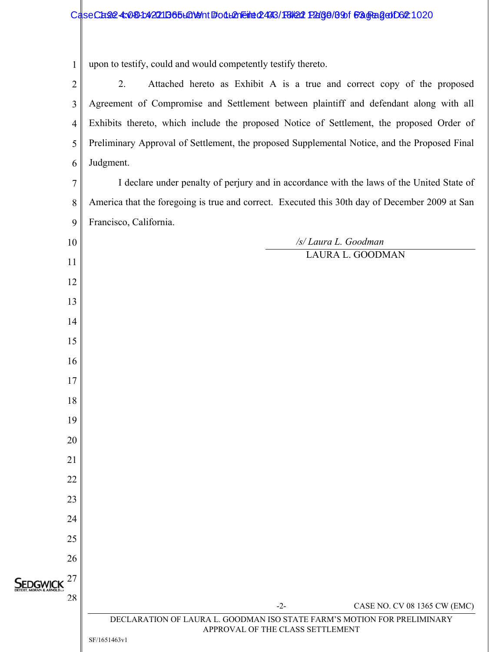## CaseCase4: 080-1:420211365 to 1:401 Boot to 16:10:24 Fale 12:08/23/18/22 Page 201366-Case 4:08-1020

1 | upon to testify, could and would competently testify thereto.

| $\overline{2}$       | 2.<br>Attached hereto as Exhibit A is a true and correct copy of the proposed                               |
|----------------------|-------------------------------------------------------------------------------------------------------------|
| 3                    | Agreement of Compromise and Settlement between plaintiff and defendant along with all                       |
|                      |                                                                                                             |
| $\overline{4}$       | Exhibits thereto, which include the proposed Notice of Settlement, the proposed Order of                    |
| 5                    | Preliminary Approval of Settlement, the proposed Supplemental Notice, and the Proposed Final                |
| 6                    | Judgment.                                                                                                   |
| $\overline{7}$       | I declare under penalty of perjury and in accordance with the laws of the United State of                   |
| 8                    | America that the foregoing is true and correct. Executed this 30th day of December 2009 at San              |
| 9                    | Francisco, California.                                                                                      |
| 10                   | /s/ Laura L. Goodman                                                                                        |
| 11                   | LAURA L. GOODMAN                                                                                            |
| 12                   |                                                                                                             |
| 13                   |                                                                                                             |
| 14                   |                                                                                                             |
| 15                   |                                                                                                             |
| 16                   |                                                                                                             |
| 17                   |                                                                                                             |
| 18                   |                                                                                                             |
| 19                   |                                                                                                             |
| 20                   |                                                                                                             |
| 21                   |                                                                                                             |
| 22                   |                                                                                                             |
| 23                   |                                                                                                             |
| 24                   |                                                                                                             |
| 25                   |                                                                                                             |
| 26                   |                                                                                                             |
| 27                   |                                                                                                             |
| <b>SEDGWIC</b><br>28 |                                                                                                             |
|                      | $-2-$<br>CASE NO. CV 08 1365 CW (EMC)                                                                       |
|                      | DECLARATION OF LAURA L. GOODMAN ISO STATE FARM'S MOTION FOR PRELIMINARY<br>APPROVAL OF THE CLASS SETTLEMENT |
|                      | SF/1651463v1                                                                                                |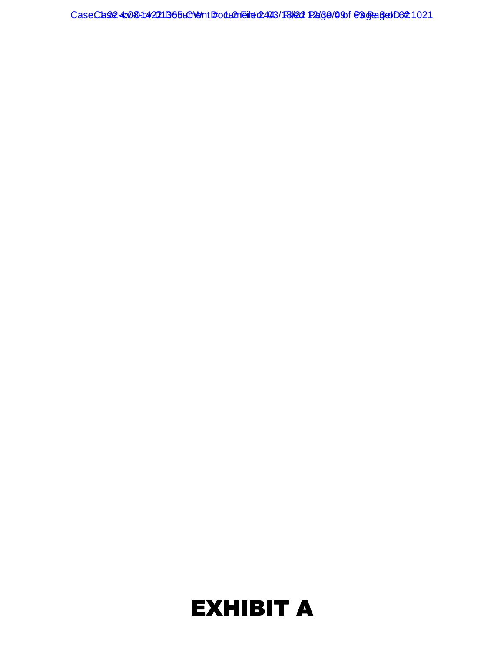CaseCase4:08-1:42011365 LON9 nt #04 LONE inter 2443/18/20 Page 109 f 63 Gage 3 Of 21021

# EXHIBIT A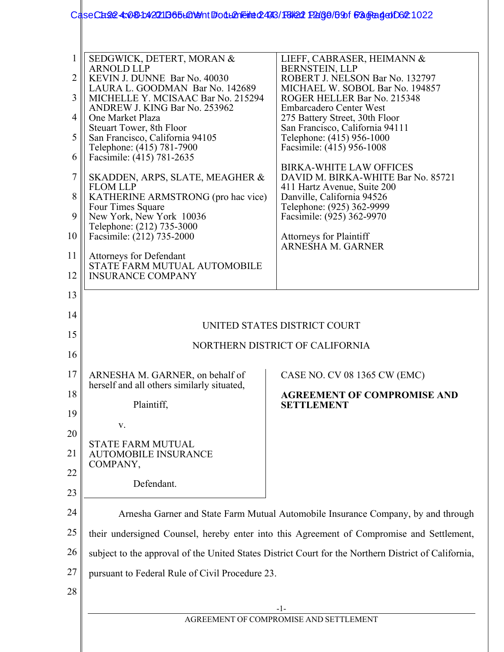|                                                             | CaseCase 4:081:4271B65L019ht BodL2nEine0243/F8/22 P266/B9f B3GBagedD62 1022                                                                                                                                                                                                                                                                                                                                                                                                                                                                                                                                                                |                                                                                                                                                                                                                                                                                                                                                                                                                                                                                                                                                                   |  |  |
|-------------------------------------------------------------|--------------------------------------------------------------------------------------------------------------------------------------------------------------------------------------------------------------------------------------------------------------------------------------------------------------------------------------------------------------------------------------------------------------------------------------------------------------------------------------------------------------------------------------------------------------------------------------------------------------------------------------------|-------------------------------------------------------------------------------------------------------------------------------------------------------------------------------------------------------------------------------------------------------------------------------------------------------------------------------------------------------------------------------------------------------------------------------------------------------------------------------------------------------------------------------------------------------------------|--|--|
| 1<br>2<br>3<br>4<br>5<br>6<br>7<br>8<br>9<br>10<br>11<br>12 | SEDGWICK, DETERT, MORAN &<br><b>ARNOLD LLP</b><br>KEVIN J. DUNNE Bar No. 40030<br>LAURA L. GOODMAN Bar No. 142689<br>MICHELLE Y. MCISAAC Bar No. 215294<br>ANDREW J. KING Bar No. 253962<br>One Market Plaza<br>Steuart Tower, 8th Floor<br>San Francisco, California 94105<br>Telephone: (415) 781-7900<br>Facsimile: (415) 781-2635<br>SKADDEN, ARPS, SLATE, MEAGHER &<br><b>FLOM LLP</b><br>KATHERINE ARMSTRONG (pro hac vice)<br>Four Times Square<br>New York, New York 10036<br>Telephone: (212) 735-3000<br>Facsimile: (212) 735-2000<br><b>Attorneys for Defendant</b><br>STATE FARM MUTUAL AUTOMOBILE<br><b>INSURANCE COMPANY</b> | LIEFF, CABRASER, HEIMANN &<br>BERNSTEIN, LLP<br>ROBERT J. NELSON Bar No. 132797<br>MICHAEL W. SOBOL Bar No. 194857<br>ROGER HELLER Bar No. 215348<br><b>Embarcadero Center West</b><br>275 Battery Street, 30th Floor<br>San Francisco, California 94111<br>Telephone: (415) 956-1000<br>Facsimile: (415) 956-1008<br><b>BIRKA-WHITE LAW OFFICES</b><br>DAVID M. BIRKA-WHITE Bar No. 85721<br>411 Hartz Avenue, Suite 200<br>Danville, California 94526<br>Telephone: (925) 362-9999<br>Facsimile: (925) 362-9970<br>Attorneys for Plaintiff<br>ARNESHA M. GARNER |  |  |
| 13<br>14                                                    |                                                                                                                                                                                                                                                                                                                                                                                                                                                                                                                                                                                                                                            |                                                                                                                                                                                                                                                                                                                                                                                                                                                                                                                                                                   |  |  |
| 15                                                          | UNITED STATES DISTRICT COURT                                                                                                                                                                                                                                                                                                                                                                                                                                                                                                                                                                                                               |                                                                                                                                                                                                                                                                                                                                                                                                                                                                                                                                                                   |  |  |
| 16                                                          | NORTHERN DISTRICT OF CALIFORNIA                                                                                                                                                                                                                                                                                                                                                                                                                                                                                                                                                                                                            |                                                                                                                                                                                                                                                                                                                                                                                                                                                                                                                                                                   |  |  |
| 17                                                          | ARNESHA M. GARNER, on behalf of<br>herself and all others similarly situated,                                                                                                                                                                                                                                                                                                                                                                                                                                                                                                                                                              | CASE NO. CV 08 1365 CW (EMC)                                                                                                                                                                                                                                                                                                                                                                                                                                                                                                                                      |  |  |
| 18<br>19                                                    | Plaintiff,                                                                                                                                                                                                                                                                                                                                                                                                                                                                                                                                                                                                                                 | <b>AGREEMENT OF COMPROMISE AND</b><br><b>SETTLEMENT</b>                                                                                                                                                                                                                                                                                                                                                                                                                                                                                                           |  |  |
|                                                             | V.                                                                                                                                                                                                                                                                                                                                                                                                                                                                                                                                                                                                                                         |                                                                                                                                                                                                                                                                                                                                                                                                                                                                                                                                                                   |  |  |
| 20<br>21                                                    | <b>STATE FARM MUTUAL</b><br><b>AUTOMOBILE INSURANCE</b><br>COMPANY,                                                                                                                                                                                                                                                                                                                                                                                                                                                                                                                                                                        |                                                                                                                                                                                                                                                                                                                                                                                                                                                                                                                                                                   |  |  |
| 22<br>23                                                    | Defendant.                                                                                                                                                                                                                                                                                                                                                                                                                                                                                                                                                                                                                                 |                                                                                                                                                                                                                                                                                                                                                                                                                                                                                                                                                                   |  |  |
| 24                                                          |                                                                                                                                                                                                                                                                                                                                                                                                                                                                                                                                                                                                                                            |                                                                                                                                                                                                                                                                                                                                                                                                                                                                                                                                                                   |  |  |
| 25                                                          | Arnesha Garner and State Farm Mutual Automobile Insurance Company, by and through<br>their undersigned Counsel, hereby enter into this Agreement of Compromise and Settlement,                                                                                                                                                                                                                                                                                                                                                                                                                                                             |                                                                                                                                                                                                                                                                                                                                                                                                                                                                                                                                                                   |  |  |
| 26                                                          |                                                                                                                                                                                                                                                                                                                                                                                                                                                                                                                                                                                                                                            | subject to the approval of the United States District Court for the Northern District of California,                                                                                                                                                                                                                                                                                                                                                                                                                                                              |  |  |
| 27                                                          | pursuant to Federal Rule of Civil Procedure 23.                                                                                                                                                                                                                                                                                                                                                                                                                                                                                                                                                                                            |                                                                                                                                                                                                                                                                                                                                                                                                                                                                                                                                                                   |  |  |
| 28                                                          |                                                                                                                                                                                                                                                                                                                                                                                                                                                                                                                                                                                                                                            |                                                                                                                                                                                                                                                                                                                                                                                                                                                                                                                                                                   |  |  |
|                                                             |                                                                                                                                                                                                                                                                                                                                                                                                                                                                                                                                                                                                                                            | -1-                                                                                                                                                                                                                                                                                                                                                                                                                                                                                                                                                               |  |  |
|                                                             | AGREEMENT OF COMPROMISE AND SETTLEMENT                                                                                                                                                                                                                                                                                                                                                                                                                                                                                                                                                                                                     |                                                                                                                                                                                                                                                                                                                                                                                                                                                                                                                                                                   |  |  |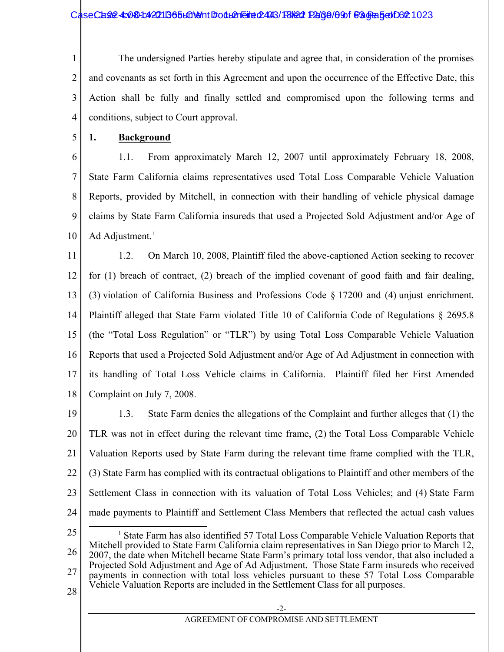CaseCase4: 080-1:42011365 LONT #: 04 LANE ##: 043/18/22 Page / 091 Fagra5 of D6#: 1023

1 2 3 4 The undersigned Parties hereby stipulate and agree that, in consideration of the promises and covenants as set forth in this Agreement and upon the occurrence of the Effective Date, this Action shall be fully and finally settled and compromised upon the following terms and conditions, subject to Court approval.

5 **1. Background** 

6 7 8 9 10 1.1. From approximately March 12, 2007 until approximately February 18, 2008, State Farm California claims representatives used Total Loss Comparable Vehicle Valuation Reports, provided by Mitchell, in connection with their handling of vehicle physical damage claims by State Farm California insureds that used a Projected Sold Adjustment and/or Age of Ad Adjustment. $<sup>1</sup>$ </sup>

11 12 13 14 15 16 17 18 1.2. On March 10, 2008, Plaintiff filed the above-captioned Action seeking to recover for (1) breach of contract, (2) breach of the implied covenant of good faith and fair dealing, (3) violation of California Business and Professions Code § 17200 and (4) unjust enrichment. Plaintiff alleged that State Farm violated Title 10 of California Code of Regulations § 2695.8 (the "Total Loss Regulation" or "TLR") by using Total Loss Comparable Vehicle Valuation Reports that used a Projected Sold Adjustment and/or Age of Ad Adjustment in connection with its handling of Total Loss Vehicle claims in California. Plaintiff filed her First Amended Complaint on July 7, 2008.

- 19 20 21 22 23 24 1.3. State Farm denies the allegations of the Complaint and further alleges that (1) the TLR was not in effect during the relevant time frame, (2) the Total Loss Comparable Vehicle Valuation Reports used by State Farm during the relevant time frame complied with the TLR, (3) State Farm has complied with its contractual obligations to Plaintiff and other members of the Settlement Class in connection with its valuation of Total Loss Vehicles; and (4) State Farm made payments to Plaintiff and Settlement Class Members that reflected the actual cash values
- 25 26 27  $\frac{1}{1}$ <sup>1</sup> State Farm has also identified 57 Total Loss Comparable Vehicle Valuation Reports that Mitchell provided to State Farm California claim representatives in San Diego prior to March 12, 2007, the date when Mitchell became State Farm's primary total loss vendor, that also included a Projected Sold Adjustment and Age of Ad Adjustment. Those State Farm insureds who received payments in connection with total loss vehicles pursuant to these 57 Total Loss Comparable Vehicle Valuation Reports are included in the Settlement Class for all purposes.
- 28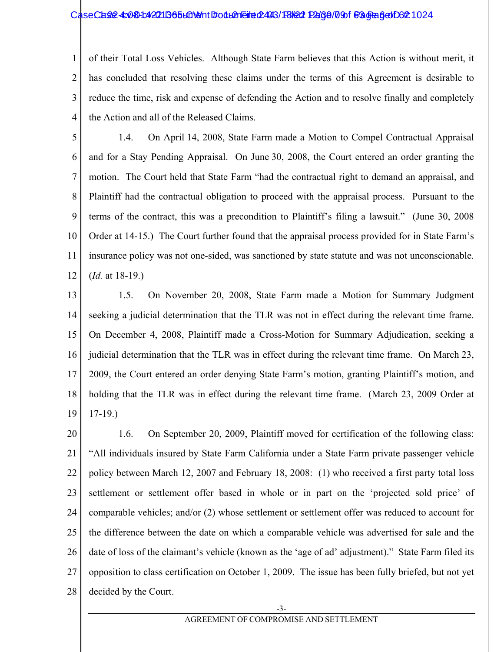#### CaseCase 4: 030-1420 1136 5 LGNent #0 d LA Filed 2443/F8/22 Page 709 f 63 Graded D6 21024

1 2 3 4 of their Total Loss Vehicles. Although State Farm believes that this Action is without merit, it has concluded that resolving these claims under the terms of this Agreement is desirable to reduce the time, risk and expense of defending the Action and to resolve finally and completely the Action and all of the Released Claims.

- 5 6 7 8 9 10 11 12 1.4. On April 14, 2008, State Farm made a Motion to Compel Contractual Appraisal and for a Stay Pending Appraisal. On June 30, 2008, the Court entered an order granting the motion. The Court held that State Farm "had the contractual right to demand an appraisal, and Plaintiff had the contractual obligation to proceed with the appraisal process. Pursuant to the terms of the contract, this was a precondition to Plaintiff's filing a lawsuit." (June 30, 2008 Order at 14-15.) The Court further found that the appraisal process provided for in State Farm's insurance policy was not one-sided, was sanctioned by state statute and was not unconscionable. (*Id.* at 18-19.)
- 13 14 15 16 17 18 19 1.5. On November 20, 2008, State Farm made a Motion for Summary Judgment seeking a judicial determination that the TLR was not in effect during the relevant time frame. On December 4, 2008, Plaintiff made a Cross-Motion for Summary Adjudication, seeking a judicial determination that the TLR was in effect during the relevant time frame. On March 23, 2009, the Court entered an order denying State Farm's motion, granting Plaintiff's motion, and holding that the TLR was in effect during the relevant time frame. (March 23, 2009 Order at 17-19.)
- 20 21 22 23 24 25 26 27 28 1.6. On September 20, 2009, Plaintiff moved for certification of the following class: "All individuals insured by State Farm California under a State Farm private passenger vehicle policy between March 12, 2007 and February 18, 2008: (1) who received a first party total loss settlement or settlement offer based in whole or in part on the 'projected sold price' of comparable vehicles; and/or (2) whose settlement or settlement offer was reduced to account for the difference between the date on which a comparable vehicle was advertised for sale and the date of loss of the claimant's vehicle (known as the 'age of ad' adjustment)." State Farm filed its opposition to class certification on October 1, 2009. The issue has been fully briefed, but not yet decided by the Court.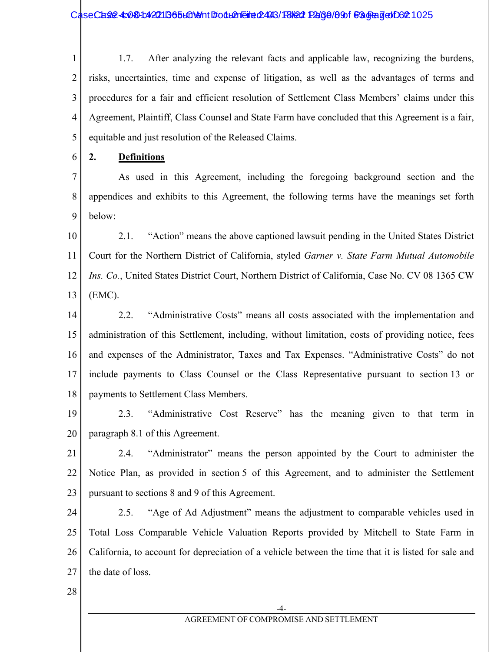CaseCase4: 080-1:42011365 LONIN #00LANE ##: 2443/F8/20 P2(36/89)f #30 \$#30 D62 1025

1 2 3 4 5 1.7. After analyzing the relevant facts and applicable law, recognizing the burdens, risks, uncertainties, time and expense of litigation, as well as the advantages of terms and procedures for a fair and efficient resolution of Settlement Class Members' claims under this Agreement, Plaintiff, Class Counsel and State Farm have concluded that this Agreement is a fair, equitable and just resolution of the Released Claims.

6 **2. Definitions**

7 8 9 As used in this Agreement, including the foregoing background section and the appendices and exhibits to this Agreement, the following terms have the meanings set forth below:

10 11 12 13 2.1. "Action" means the above captioned lawsuit pending in the United States District Court for the Northern District of California, styled *Garner v. State Farm Mutual Automobile Ins. Co.*, United States District Court, Northern District of California, Case No. CV 08 1365 CW (EMC).

14 15 16 17 18 2.2. "Administrative Costs" means all costs associated with the implementation and administration of this Settlement, including, without limitation, costs of providing notice, fees and expenses of the Administrator, Taxes and Tax Expenses. "Administrative Costs" do not include payments to Class Counsel or the Class Representative pursuant to section 13 or payments to Settlement Class Members.

19 20 2.3. "Administrative Cost Reserve" has the meaning given to that term in paragraph 8.1 of this Agreement.

21 22 23 2.4. "Administrator" means the person appointed by the Court to administer the Notice Plan, as provided in section 5 of this Agreement, and to administer the Settlement pursuant to sections 8 and 9 of this Agreement.

24 25 26 27 2.5. "Age of Ad Adjustment" means the adjustment to comparable vehicles used in Total Loss Comparable Vehicle Valuation Reports provided by Mitchell to State Farm in California, to account for depreciation of a vehicle between the time that it is listed for sale and the date of loss.

28

-4-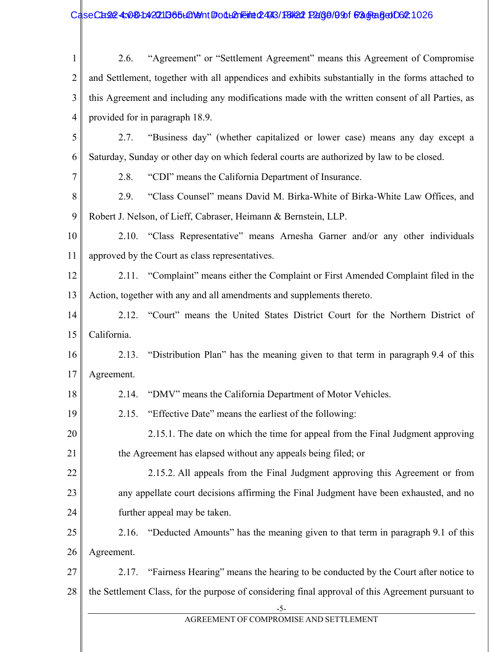## CaseCase: 4:08-1:42011365 LaNot #: 04 Lan Filed: 2443 / FBIO 2:08:1036 F3 GR Get 1026

| $\mathbf{1}$   | 2.6.                                                                                             | "Agreement" or "Settlement Agreement" means this Agreement of Compromise                          |  |
|----------------|--------------------------------------------------------------------------------------------------|---------------------------------------------------------------------------------------------------|--|
| $\overline{2}$ | and Settlement, together with all appendices and exhibits substantially in the forms attached to |                                                                                                   |  |
| 3              | this Agreement and including any modifications made with the written consent of all Parties, as  |                                                                                                   |  |
| 4              |                                                                                                  | provided for in paragraph 18.9.                                                                   |  |
| 5              | 2.7.                                                                                             | "Business day" (whether capitalized or lower case) means any day except a                         |  |
| 6              | Saturday, Sunday or other day on which federal courts are authorized by law to be closed.        |                                                                                                   |  |
| 7              | 2.8.                                                                                             | "CDI" means the California Department of Insurance.                                               |  |
| 8              | 2.9.                                                                                             | "Class Counsel" means David M. Birka-White of Birka-White Law Offices, and                        |  |
| 9              |                                                                                                  | Robert J. Nelson, of Lieff, Cabraser, Heimann & Bernstein, LLP.                                   |  |
| 10             |                                                                                                  | 2.10. "Class Representative" means Arnesha Garner and/or any other individuals                    |  |
| 11             |                                                                                                  | approved by the Court as class representatives.                                                   |  |
| 12             |                                                                                                  | 2.11. "Complaint" means either the Complaint or First Amended Complaint filed in the              |  |
| 13             | Action, together with any and all amendments and supplements thereto.                            |                                                                                                   |  |
| 14             | 2.12.                                                                                            | "Court" means the United States District Court for the Northern District of                       |  |
| 15             | California.                                                                                      |                                                                                                   |  |
| 16             | 2.13.                                                                                            | "Distribution Plan" has the meaning given to that term in paragraph 9.4 of this                   |  |
| 17             | Agreement.                                                                                       |                                                                                                   |  |
| 18             | 2.14.                                                                                            | "DMV" means the California Department of Motor Vehicles.                                          |  |
| 19             | 2.15.                                                                                            | "Effective Date" means the earliest of the following:                                             |  |
| 20             |                                                                                                  | 2.15.1. The date on which the time for appeal from the Final Judgment approving                   |  |
| 21             |                                                                                                  | the Agreement has elapsed without any appeals being filed; or                                     |  |
| 22             |                                                                                                  | 2.15.2. All appeals from the Final Judgment approving this Agreement or from                      |  |
| 23             | any appellate court decisions affirming the Final Judgment have been exhausted, and no           |                                                                                                   |  |
| 24             |                                                                                                  | further appeal may be taken.                                                                      |  |
| 25             | 2.16.                                                                                            | "Deducted Amounts" has the meaning given to that term in paragraph 9.1 of this                    |  |
| 26             | Agreement.                                                                                       |                                                                                                   |  |
| 27             | 2.17.                                                                                            | "Fairness Hearing" means the hearing to be conducted by the Court after notice to                 |  |
| 28             |                                                                                                  | the Settlement Class, for the purpose of considering final approval of this Agreement pursuant to |  |
|                |                                                                                                  | $-5-$<br>AGREEMENT OF COMPROMISE AND SETTLEMENT                                                   |  |
|                |                                                                                                  |                                                                                                   |  |
|                |                                                                                                  |                                                                                                   |  |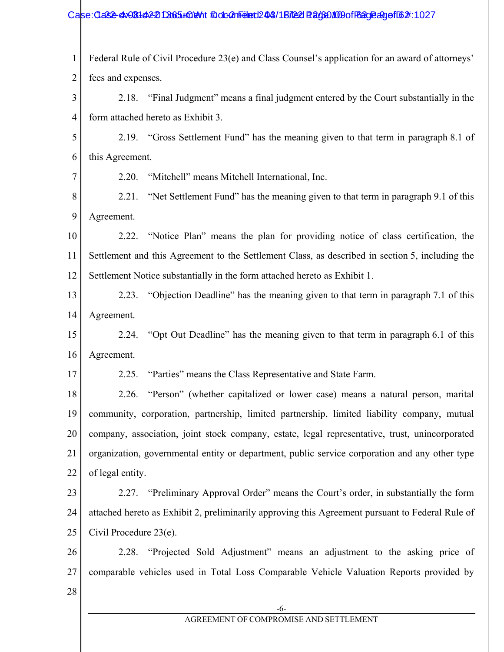#### Case: Clase-cv-08142-20 D365+00 eV t # 0.00 a medie 02 04 / 18/22 Page 100 0 ff 63 0 Page 4:1027

1 2 Federal Rule of Civil Procedure 23(e) and Class Counsel's application for an award of attorneys' fees and expenses.

3 4 2.18. "Final Judgment" means a final judgment entered by the Court substantially in the form attached hereto as Exhibit 3.

5 6 2.19. "Gross Settlement Fund" has the meaning given to that term in paragraph 8.1 of this Agreement.

7

2.20. "Mitchell" means Mitchell International, Inc.

8 9 2.21. "Net Settlement Fund" has the meaning given to that term in paragraph 9.1 of this Agreement.

10 11 12 2.22. "Notice Plan" means the plan for providing notice of class certification, the Settlement and this Agreement to the Settlement Class, as described in section 5, including the Settlement Notice substantially in the form attached hereto as Exhibit 1.

13 14 2.23. "Objection Deadline" has the meaning given to that term in paragraph 7.1 of this Agreement.

15 16 2.24. "Opt Out Deadline" has the meaning given to that term in paragraph 6.1 of this Agreement.

17

2.25. "Parties" means the Class Representative and State Farm.

18 19 20 21 22 2.26. "Person" (whether capitalized or lower case) means a natural person, marital community, corporation, partnership, limited partnership, limited liability company, mutual company, association, joint stock company, estate, legal representative, trust, unincorporated organization, governmental entity or department, public service corporation and any other type of legal entity.

23 24 25 2.27. "Preliminary Approval Order" means the Court's order, in substantially the form attached hereto as Exhibit 2, preliminarily approving this Agreement pursuant to Federal Rule of Civil Procedure 23(e).

26 27 2.28. "Projected Sold Adjustment" means an adjustment to the asking price of comparable vehicles used in Total Loss Comparable Vehicle Valuation Reports provided by

28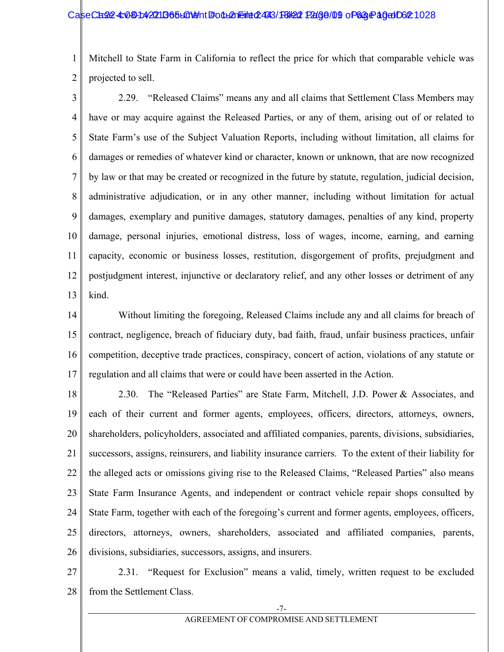#### CaseCase: 4:081:42211B65L01911 Follemeint 2493/18/22 Page/01 of 63 Page 10 Of 62:1028

1 2 Mitchell to State Farm in California to reflect the price for which that comparable vehicle was projected to sell.

3 4 5 6 7 8 9 10 11 12 13 2.29. "Released Claims" means any and all claims that Settlement Class Members may have or may acquire against the Released Parties, or any of them, arising out of or related to State Farm's use of the Subject Valuation Reports, including without limitation, all claims for damages or remedies of whatever kind or character, known or unknown, that are now recognized by law or that may be created or recognized in the future by statute, regulation, judicial decision, administrative adjudication, or in any other manner, including without limitation for actual damages, exemplary and punitive damages, statutory damages, penalties of any kind, property damage, personal injuries, emotional distress, loss of wages, income, earning, and earning capacity, economic or business losses, restitution, disgorgement of profits, prejudgment and postjudgment interest, injunctive or declaratory relief, and any other losses or detriment of any kind.

14 15 16 17 Without limiting the foregoing, Released Claims include any and all claims for breach of contract, negligence, breach of fiduciary duty, bad faith, fraud, unfair business practices, unfair competition, deceptive trade practices, conspiracy, concert of action, violations of any statute or regulation and all claims that were or could have been asserted in the Action.

18 19 20 21 22 23 24 25 26 2.30. The "Released Parties" are State Farm, Mitchell, J.D. Power & Associates, and each of their current and former agents, employees, officers, directors, attorneys, owners, shareholders, policyholders, associated and affiliated companies, parents, divisions, subsidiaries, successors, assigns, reinsurers, and liability insurance carriers. To the extent of their liability for the alleged acts or omissions giving rise to the Released Claims, "Released Parties" also means State Farm Insurance Agents, and independent or contract vehicle repair shops consulted by State Farm, together with each of the foregoing's current and former agents, employees, officers, directors, attorneys, owners, shareholders, associated and affiliated companies, parents, divisions, subsidiaries, successors, assigns, and insurers.

27 28 2.31. "Request for Exclusion" means a valid, timely, written request to be excluded from the Settlement Class.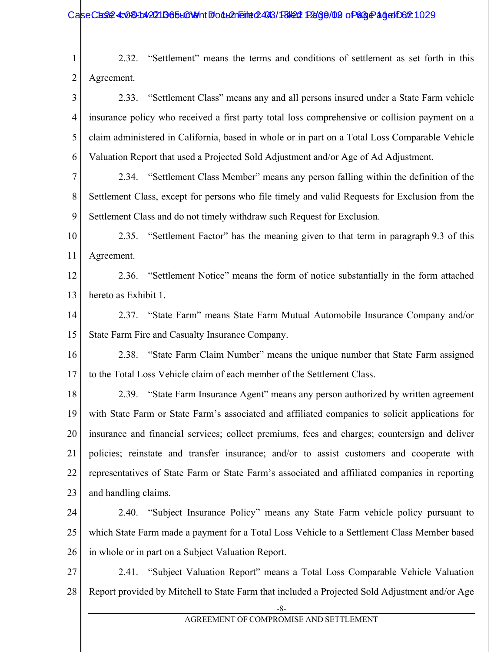1 2 2.32. "Settlement" means the terms and conditions of settlement as set forth in this Agreement.

3 4 5 6 2.33. "Settlement Class" means any and all persons insured under a State Farm vehicle insurance policy who received a first party total loss comprehensive or collision payment on a claim administered in California, based in whole or in part on a Total Loss Comparable Vehicle Valuation Report that used a Projected Sold Adjustment and/or Age of Ad Adjustment.

7 8 9 2.34. "Settlement Class Member" means any person falling within the definition of the Settlement Class, except for persons who file timely and valid Requests for Exclusion from the Settlement Class and do not timely withdraw such Request for Exclusion.

10 11 2.35. "Settlement Factor" has the meaning given to that term in paragraph 9.3 of this Agreement.

12 13 2.36. "Settlement Notice" means the form of notice substantially in the form attached hereto as Exhibit 1.

14 15 2.37. "State Farm" means State Farm Mutual Automobile Insurance Company and/or State Farm Fire and Casualty Insurance Company.

16 17 2.38. "State Farm Claim Number" means the unique number that State Farm assigned to the Total Loss Vehicle claim of each member of the Settlement Class.

18 19 20 21 22 23 2.39. "State Farm Insurance Agent" means any person authorized by written agreement with State Farm or State Farm's associated and affiliated companies to solicit applications for insurance and financial services; collect premiums, fees and charges; countersign and deliver policies; reinstate and transfer insurance; and/or to assist customers and cooperate with representatives of State Farm or State Farm's associated and affiliated companies in reporting and handling claims.

24 25 26 2.40. "Subject Insurance Policy" means any State Farm vehicle policy pursuant to which State Farm made a payment for a Total Loss Vehicle to a Settlement Class Member based in whole or in part on a Subject Valuation Report.

27 28 2.41. "Subject Valuation Report" means a Total Loss Comparable Vehicle Valuation Report provided by Mitchell to State Farm that included a Projected Sold Adjustment and/or Age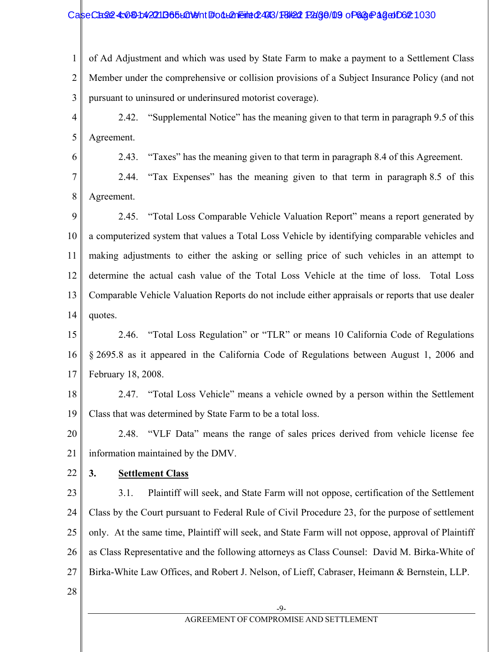#### CaseCase4: 030-1:42211365 LON9 http://den.eined/493/18/22 Page/09 of 63 Page 13:00

1 2 3 of Ad Adjustment and which was used by State Farm to make a payment to a Settlement Class Member under the comprehensive or collision provisions of a Subject Insurance Policy (and not pursuant to uninsured or underinsured motorist coverage).

- 4 5 2.42. "Supplemental Notice" has the meaning given to that term in paragraph 9.5 of this Agreement.
	- 2.43. "Taxes" has the meaning given to that term in paragraph 8.4 of this Agreement.

7 8 2.44. "Tax Expenses" has the meaning given to that term in paragraph 8.5 of this Agreement.

- 9 10 11 12 13 14 2.45. "Total Loss Comparable Vehicle Valuation Report" means a report generated by a computerized system that values a Total Loss Vehicle by identifying comparable vehicles and making adjustments to either the asking or selling price of such vehicles in an attempt to determine the actual cash value of the Total Loss Vehicle at the time of loss. Total Loss Comparable Vehicle Valuation Reports do not include either appraisals or reports that use dealer quotes.
- 15 16 17 2.46. "Total Loss Regulation" or "TLR" or means 10 California Code of Regulations § 2695.8 as it appeared in the California Code of Regulations between August 1, 2006 and February 18, 2008.
- 18 19 2.47. "Total Loss Vehicle" means a vehicle owned by a person within the Settlement Class that was determined by State Farm to be a total loss.
- 20 21 2.48. "VLF Data" means the range of sales prices derived from vehicle license fee information maintained by the DMV.
- 22
- 

6

### **3. Settlement Class**

23 24 25 26 27 3.1. Plaintiff will seek, and State Farm will not oppose, certification of the Settlement Class by the Court pursuant to Federal Rule of Civil Procedure 23, for the purpose of settlement only. At the same time, Plaintiff will seek, and State Farm will not oppose, approval of Plaintiff as Class Representative and the following attorneys as Class Counsel: David M. Birka-White of Birka-White Law Offices, and Robert J. Nelson, of Lieff, Cabraser, Heimann & Bernstein, LLP.

28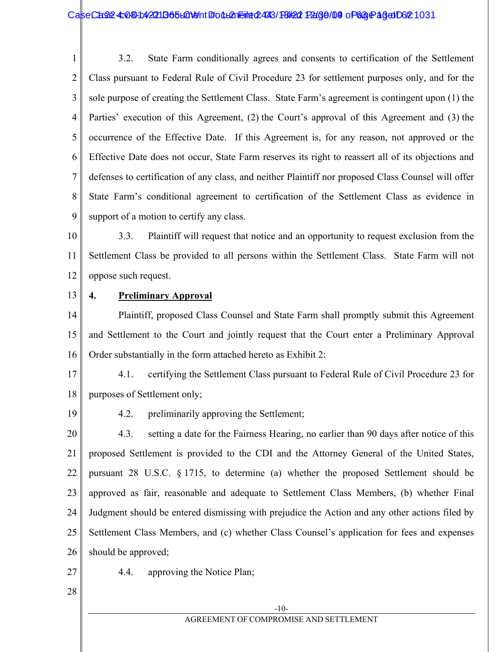#### CaseCase: 4:081:42211B65L01911 Follemeint 2493/18/22 Page 09 of 63 Page 164 1031

1 2 3 4 5 6 7 8 9 3.2. State Farm conditionally agrees and consents to certification of the Settlement Class pursuant to Federal Rule of Civil Procedure 23 for settlement purposes only, and for the sole purpose of creating the Settlement Class. State Farm's agreement is contingent upon (1) the Parties' execution of this Agreement, (2) the Court's approval of this Agreement and (3) the occurrence of the Effective Date. If this Agreement is, for any reason, not approved or the Effective Date does not occur, State Farm reserves its right to reassert all of its objections and defenses to certification of any class, and neither Plaintiff nor proposed Class Counsel will offer State Farm's conditional agreement to certification of the Settlement Class as evidence in support of a motion to certify any class.

10 11 12 3.3. Plaintiff will request that notice and an opportunity to request exclusion from the Settlement Class be provided to all persons within the Settlement Class. State Farm will not oppose such request.

#### 13 **4. Preliminary Approval**

14 15 16 Plaintiff, proposed Class Counsel and State Farm shall promptly submit this Agreement and Settlement to the Court and jointly request that the Court enter a Preliminary Approval Order substantially in the form attached hereto as Exhibit 2:

17 18 4.1. certifying the Settlement Class pursuant to Federal Rule of Civil Procedure 23 for purposes of Settlement only;

19

4.2. preliminarily approving the Settlement;

20 21 22 23 24 25 26 4.3. setting a date for the Fairness Hearing, no earlier than 90 days after notice of this proposed Settlement is provided to the CDI and the Attorney General of the United States, pursuant 28 U.S.C. § 1715, to determine (a) whether the proposed Settlement should be approved as fair, reasonable and adequate to Settlement Class Members, (b) whether Final Judgment should be entered dismissing with prejudice the Action and any other actions filed by Settlement Class Members, and (c) whether Class Counsel's application for fees and expenses should be approved;

- 27 4.4. approving the Notice Plan;
- 28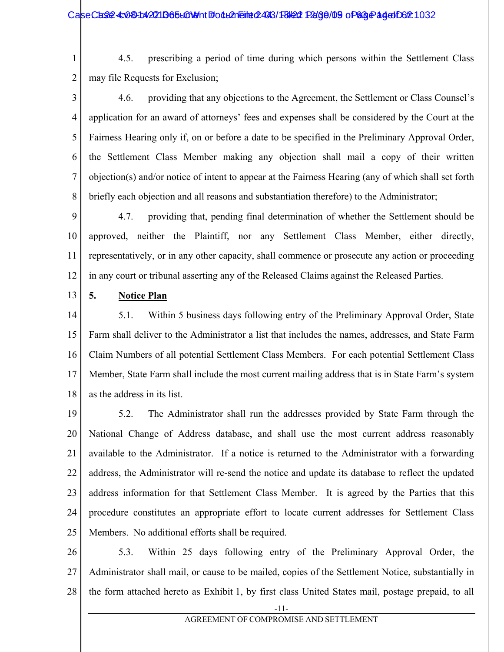1 2 4.5. prescribing a period of time during which persons within the Settlement Class may file Requests for Exclusion;

3 4 5 6 7 8 4.6. providing that any objections to the Agreement, the Settlement or Class Counsel's application for an award of attorneys' fees and expenses shall be considered by the Court at the Fairness Hearing only if, on or before a date to be specified in the Preliminary Approval Order, the Settlement Class Member making any objection shall mail a copy of their written objection(s) and/or notice of intent to appear at the Fairness Hearing (any of which shall set forth briefly each objection and all reasons and substantiation therefore) to the Administrator;

9 10 11 12 4.7. providing that, pending final determination of whether the Settlement should be approved, neither the Plaintiff, nor any Settlement Class Member, either directly, representatively, or in any other capacity, shall commence or prosecute any action or proceeding in any court or tribunal asserting any of the Released Claims against the Released Parties.

13 **5. Notice Plan**

14 15 16 17 18 5.1. Within 5 business days following entry of the Preliminary Approval Order, State Farm shall deliver to the Administrator a list that includes the names, addresses, and State Farm Claim Numbers of all potential Settlement Class Members. For each potential Settlement Class Member, State Farm shall include the most current mailing address that is in State Farm's system as the address in its list.

19 20 21 22 23 24 25 5.2. The Administrator shall run the addresses provided by State Farm through the National Change of Address database, and shall use the most current address reasonably available to the Administrator. If a notice is returned to the Administrator with a forwarding address, the Administrator will re-send the notice and update its database to reflect the updated address information for that Settlement Class Member. It is agreed by the Parties that this procedure constitutes an appropriate effort to locate current addresses for Settlement Class Members. No additional efforts shall be required.

26 27 28 5.3. Within 25 days following entry of the Preliminary Approval Order, the Administrator shall mail, or cause to be mailed, copies of the Settlement Notice, substantially in the form attached hereto as Exhibit 1, by first class United States mail, postage prepaid, to all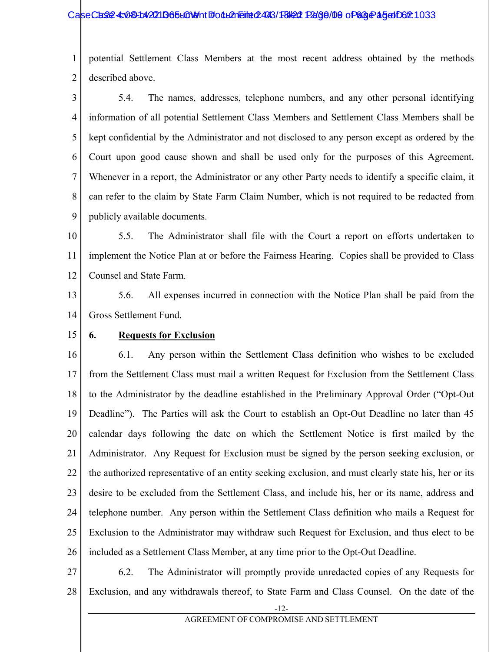#### CaseCase: 4:081:42211365LGN9nt #odLAneint 2493/H3/22 Page/00 of 68 Page 15 of Case 1033

1 2 potential Settlement Class Members at the most recent address obtained by the methods described above.

3 4 5 6 7 8 9 5.4. The names, addresses, telephone numbers, and any other personal identifying information of all potential Settlement Class Members and Settlement Class Members shall be kept confidential by the Administrator and not disclosed to any person except as ordered by the Court upon good cause shown and shall be used only for the purposes of this Agreement. Whenever in a report, the Administrator or any other Party needs to identify a specific claim, it can refer to the claim by State Farm Claim Number, which is not required to be redacted from publicly available documents.

10 11 12 5.5. The Administrator shall file with the Court a report on efforts undertaken to implement the Notice Plan at or before the Fairness Hearing. Copies shall be provided to Class Counsel and State Farm.

13 14 5.6. All expenses incurred in connection with the Notice Plan shall be paid from the Gross Settlement Fund.

15 **6. Requests for Exclusion**

16 17 18 19 20 21 22 23 24 25 26 6.1. Any person within the Settlement Class definition who wishes to be excluded from the Settlement Class must mail a written Request for Exclusion from the Settlement Class to the Administrator by the deadline established in the Preliminary Approval Order ("Opt-Out Deadline"). The Parties will ask the Court to establish an Opt-Out Deadline no later than 45 calendar days following the date on which the Settlement Notice is first mailed by the Administrator. Any Request for Exclusion must be signed by the person seeking exclusion, or the authorized representative of an entity seeking exclusion, and must clearly state his, her or its desire to be excluded from the Settlement Class, and include his, her or its name, address and telephone number. Any person within the Settlement Class definition who mails a Request for Exclusion to the Administrator may withdraw such Request for Exclusion, and thus elect to be included as a Settlement Class Member, at any time prior to the Opt-Out Deadline.

27 28 6.2. The Administrator will promptly provide unredacted copies of any Requests for Exclusion, and any withdrawals thereof, to State Farm and Class Counsel. On the date of the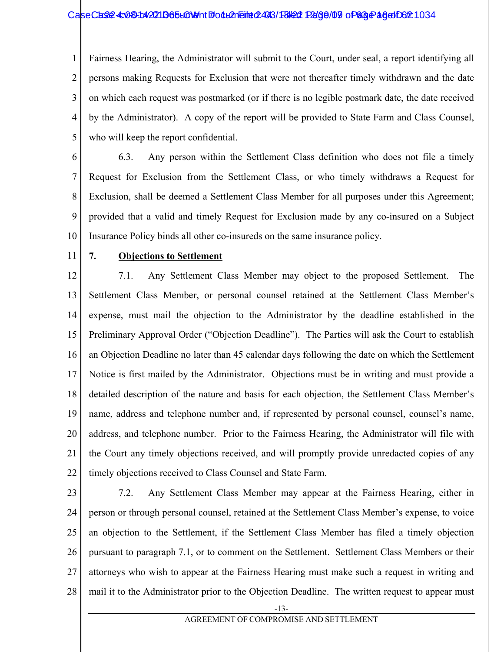#### CaseCase4x030142211365L01011 FodL2neint 2493/F8/22 Page/09 of 63 Page 16 Of 62:1034

1 2 3 4 5 Fairness Hearing, the Administrator will submit to the Court, under seal, a report identifying all persons making Requests for Exclusion that were not thereafter timely withdrawn and the date on which each request was postmarked (or if there is no legible postmark date, the date received by the Administrator). A copy of the report will be provided to State Farm and Class Counsel, who will keep the report confidential.

6 7 8 9 10 6.3. Any person within the Settlement Class definition who does not file a timely Request for Exclusion from the Settlement Class, or who timely withdraws a Request for Exclusion, shall be deemed a Settlement Class Member for all purposes under this Agreement; provided that a valid and timely Request for Exclusion made by any co-insured on a Subject Insurance Policy binds all other co-insureds on the same insurance policy.

11

#### **7. Objections to Settlement**

12 13 14 15 16 17 18 19 20 21 22 7.1. Any Settlement Class Member may object to the proposed Settlement. The Settlement Class Member, or personal counsel retained at the Settlement Class Member's expense, must mail the objection to the Administrator by the deadline established in the Preliminary Approval Order ("Objection Deadline"). The Parties will ask the Court to establish an Objection Deadline no later than 45 calendar days following the date on which the Settlement Notice is first mailed by the Administrator. Objections must be in writing and must provide a detailed description of the nature and basis for each objection, the Settlement Class Member's name, address and telephone number and, if represented by personal counsel, counsel's name, address, and telephone number. Prior to the Fairness Hearing, the Administrator will file with the Court any timely objections received, and will promptly provide unredacted copies of any timely objections received to Class Counsel and State Farm.

23

24 25 26 27 28 7.2. Any Settlement Class Member may appear at the Fairness Hearing, either in person or through personal counsel, retained at the Settlement Class Member's expense, to voice an objection to the Settlement, if the Settlement Class Member has filed a timely objection pursuant to paragraph 7.1, or to comment on the Settlement. Settlement Class Members or their attorneys who wish to appear at the Fairness Hearing must make such a request in writing and mail it to the Administrator prior to the Objection Deadline. The written request to appear must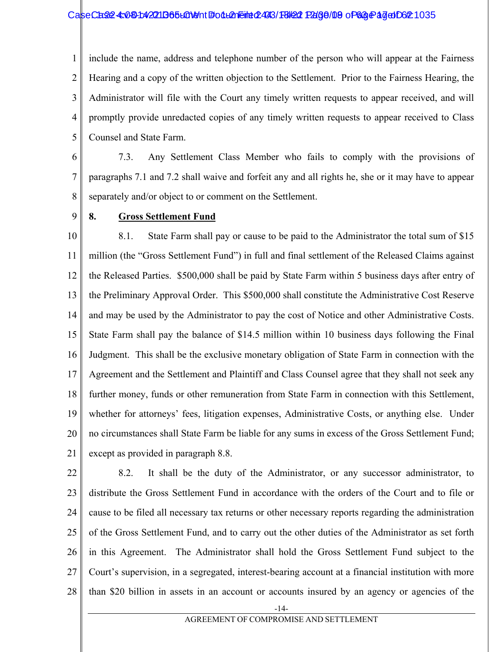#### CaseCase: 4:081:42211B65L01911 Follemeint 2493/18/22 Page/09 of 63 Page 17 document 24

1 2 3 4 5 include the name, address and telephone number of the person who will appear at the Fairness Hearing and a copy of the written objection to the Settlement. Prior to the Fairness Hearing, the Administrator will file with the Court any timely written requests to appear received, and will promptly provide unredacted copies of any timely written requests to appear received to Class Counsel and State Farm.

6 7 8 7.3. Any Settlement Class Member who fails to comply with the provisions of paragraphs 7.1 and 7.2 shall waive and forfeit any and all rights he, she or it may have to appear separately and/or object to or comment on the Settlement.

9

#### **8. Gross Settlement Fund**

10 11 12 13 14 15 16 17 18 19 20 21 8.1. State Farm shall pay or cause to be paid to the Administrator the total sum of \$15 million (the "Gross Settlement Fund") in full and final settlement of the Released Claims against the Released Parties. \$500,000 shall be paid by State Farm within 5 business days after entry of the Preliminary Approval Order. This \$500,000 shall constitute the Administrative Cost Reserve and may be used by the Administrator to pay the cost of Notice and other Administrative Costs. State Farm shall pay the balance of \$14.5 million within 10 business days following the Final Judgment. This shall be the exclusive monetary obligation of State Farm in connection with the Agreement and the Settlement and Plaintiff and Class Counsel agree that they shall not seek any further money, funds or other remuneration from State Farm in connection with this Settlement, whether for attorneys' fees, litigation expenses, Administrative Costs, or anything else. Under no circumstances shall State Farm be liable for any sums in excess of the Gross Settlement Fund; except as provided in paragraph 8.8.

22 23 24 25 26 27 28 8.2. It shall be the duty of the Administrator, or any successor administrator, to distribute the Gross Settlement Fund in accordance with the orders of the Court and to file or cause to be filed all necessary tax returns or other necessary reports regarding the administration of the Gross Settlement Fund, and to carry out the other duties of the Administrator as set forth in this Agreement. The Administrator shall hold the Gross Settlement Fund subject to the Court's supervision, in a segregated, interest-bearing account at a financial institution with more than \$20 billion in assets in an account or accounts insured by an agency or agencies of the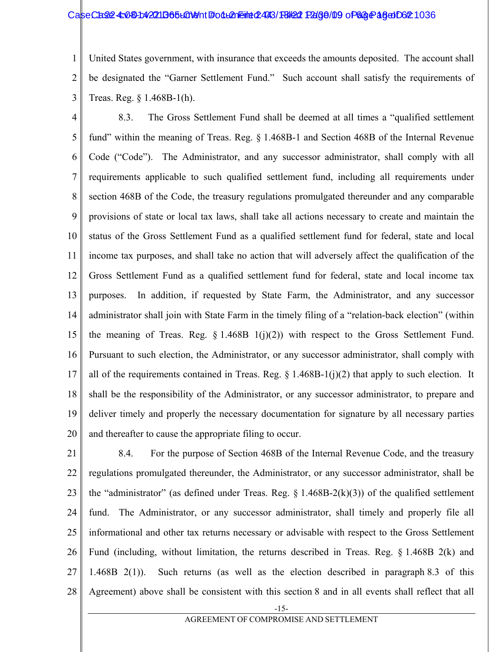#### CaseCase: 4:081:42211B65L01911 Follemeint 2493/18/22 Page/09 of 63 Page 18 document 24

1 2 3 United States government, with insurance that exceeds the amounts deposited. The account shall be designated the "Garner Settlement Fund." Such account shall satisfy the requirements of Treas. Reg. § 1.468B-1(h).

4 5 6 7 8 9 10 11 12 13 14 15 16 17 18 19 20 8.3. The Gross Settlement Fund shall be deemed at all times a "qualified settlement fund" within the meaning of Treas. Reg. § 1.468B-1 and Section 468B of the Internal Revenue Code ("Code"). The Administrator, and any successor administrator, shall comply with all requirements applicable to such qualified settlement fund, including all requirements under section 468B of the Code, the treasury regulations promulgated thereunder and any comparable provisions of state or local tax laws, shall take all actions necessary to create and maintain the status of the Gross Settlement Fund as a qualified settlement fund for federal, state and local income tax purposes, and shall take no action that will adversely affect the qualification of the Gross Settlement Fund as a qualified settlement fund for federal, state and local income tax purposes. In addition, if requested by State Farm, the Administrator, and any successor administrator shall join with State Farm in the timely filing of a "relation-back election" (within the meaning of Treas. Reg.  $\S 1.468B 1(j)(2)$  with respect to the Gross Settlement Fund. Pursuant to such election, the Administrator, or any successor administrator, shall comply with all of the requirements contained in Treas. Reg.  $\S 1.468B-1(j)(2)$  that apply to such election. It shall be the responsibility of the Administrator, or any successor administrator, to prepare and deliver timely and properly the necessary documentation for signature by all necessary parties and thereafter to cause the appropriate filing to occur.

21 22 23 24 25 26 27 28 8.4. For the purpose of Section 468B of the Internal Revenue Code, and the treasury regulations promulgated thereunder, the Administrator, or any successor administrator, shall be the "administrator" (as defined under Treas. Reg.  $\S$  1.468B-2(k)(3)) of the qualified settlement fund. The Administrator, or any successor administrator, shall timely and properly file all informational and other tax returns necessary or advisable with respect to the Gross Settlement Fund (including, without limitation, the returns described in Treas. Reg. § 1.468B 2(k) and 1.468B 2(1)). Such returns (as well as the election described in paragraph 8.3 of this Agreement) above shall be consistent with this section 8 and in all events shall reflect that all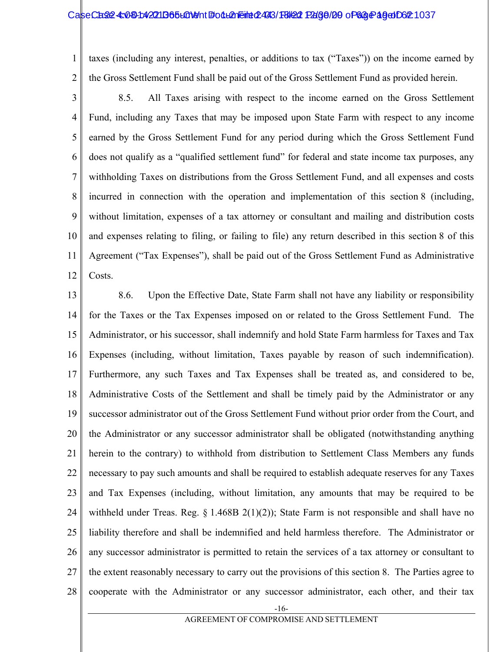#### CaseCase: 4:08-1:4221 D65 LC1 Mont # 04 L21 Felixe 2493/18 R2130 Page 20 of 63 Page 19 Of 62:1037

1 2 taxes (including any interest, penalties, or additions to tax ("Taxes")) on the income earned by the Gross Settlement Fund shall be paid out of the Gross Settlement Fund as provided herein.

3 4 5 6 7 8 9 10 11 12 8.5. All Taxes arising with respect to the income earned on the Gross Settlement Fund, including any Taxes that may be imposed upon State Farm with respect to any income earned by the Gross Settlement Fund for any period during which the Gross Settlement Fund does not qualify as a "qualified settlement fund" for federal and state income tax purposes, any withholding Taxes on distributions from the Gross Settlement Fund, and all expenses and costs incurred in connection with the operation and implementation of this section 8 (including, without limitation, expenses of a tax attorney or consultant and mailing and distribution costs and expenses relating to filing, or failing to file) any return described in this section 8 of this Agreement ("Tax Expenses"), shall be paid out of the Gross Settlement Fund as Administrative Costs.

13 14 15 16 17 18 19 20 21 22 23 24 25 26 27 28 8.6. Upon the Effective Date, State Farm shall not have any liability or responsibility for the Taxes or the Tax Expenses imposed on or related to the Gross Settlement Fund. The Administrator, or his successor, shall indemnify and hold State Farm harmless for Taxes and Tax Expenses (including, without limitation, Taxes payable by reason of such indemnification). Furthermore, any such Taxes and Tax Expenses shall be treated as, and considered to be, Administrative Costs of the Settlement and shall be timely paid by the Administrator or any successor administrator out of the Gross Settlement Fund without prior order from the Court, and the Administrator or any successor administrator shall be obligated (notwithstanding anything herein to the contrary) to withhold from distribution to Settlement Class Members any funds necessary to pay such amounts and shall be required to establish adequate reserves for any Taxes and Tax Expenses (including, without limitation, any amounts that may be required to be withheld under Treas. Reg.  $\S 1.468B 2(1)(2)$ ; State Farm is not responsible and shall have no liability therefore and shall be indemnified and held harmless therefore. The Administrator or any successor administrator is permitted to retain the services of a tax attorney or consultant to the extent reasonably necessary to carry out the provisions of this section 8. The Parties agree to cooperate with the Administrator or any successor administrator, each other, and their tax

-16-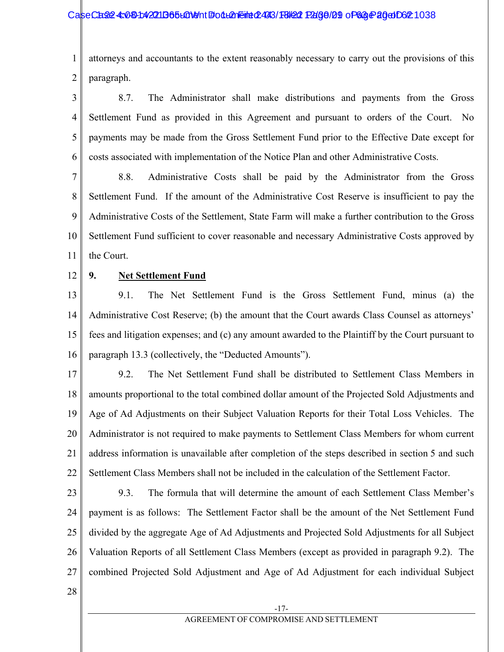#### CaseCase: 4:081:42211B65L01911 Follemeint 2493/18/22 Page/09 of 63 Page 20 of 62 1038

1 2 attorneys and accountants to the extent reasonably necessary to carry out the provisions of this paragraph.

3 4 5 6 8.7. The Administrator shall make distributions and payments from the Gross Settlement Fund as provided in this Agreement and pursuant to orders of the Court. No payments may be made from the Gross Settlement Fund prior to the Effective Date except for costs associated with implementation of the Notice Plan and other Administrative Costs.

7 8 9 10 11 8.8. Administrative Costs shall be paid by the Administrator from the Gross Settlement Fund. If the amount of the Administrative Cost Reserve is insufficient to pay the Administrative Costs of the Settlement, State Farm will make a further contribution to the Gross Settlement Fund sufficient to cover reasonable and necessary Administrative Costs approved by the Court.

12

### **9. Net Settlement Fund**

13 14 15 16 9.1. The Net Settlement Fund is the Gross Settlement Fund, minus (a) the Administrative Cost Reserve; (b) the amount that the Court awards Class Counsel as attorneys' fees and litigation expenses; and (c) any amount awarded to the Plaintiff by the Court pursuant to paragraph 13.3 (collectively, the "Deducted Amounts").

17 18 19 20 21 22 9.2. The Net Settlement Fund shall be distributed to Settlement Class Members in amounts proportional to the total combined dollar amount of the Projected Sold Adjustments and Age of Ad Adjustments on their Subject Valuation Reports for their Total Loss Vehicles. The Administrator is not required to make payments to Settlement Class Members for whom current address information is unavailable after completion of the steps described in section 5 and such Settlement Class Members shall not be included in the calculation of the Settlement Factor.

23

24 25 26 27 9.3. The formula that will determine the amount of each Settlement Class Member's payment is as follows: The Settlement Factor shall be the amount of the Net Settlement Fund divided by the aggregate Age of Ad Adjustments and Projected Sold Adjustments for all Subject Valuation Reports of all Settlement Class Members (except as provided in paragraph 9.2). The combined Projected Sold Adjustment and Age of Ad Adjustment for each individual Subject

28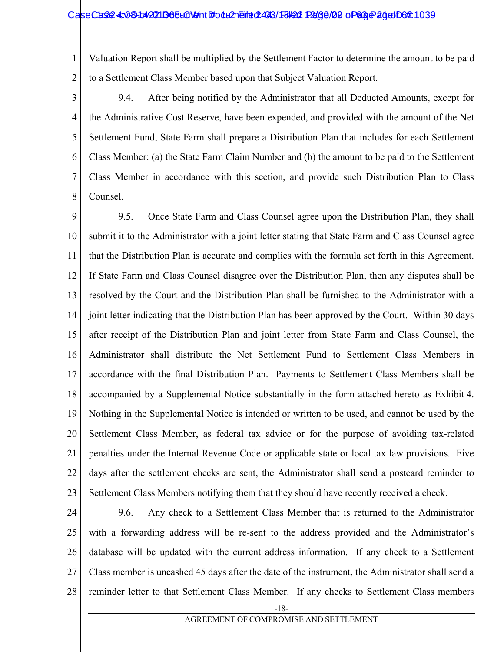#### CaseCase: 4:081:42211B65L01911 Follemeint 2493/18/22 Page/02 of 63 Page 2010 Of 21039

1 2 Valuation Report shall be multiplied by the Settlement Factor to determine the amount to be paid to a Settlement Class Member based upon that Subject Valuation Report.

3

4 5 6 7 8 9.4. After being notified by the Administrator that all Deducted Amounts, except for the Administrative Cost Reserve, have been expended, and provided with the amount of the Net Settlement Fund, State Farm shall prepare a Distribution Plan that includes for each Settlement Class Member: (a) the State Farm Claim Number and (b) the amount to be paid to the Settlement Class Member in accordance with this section, and provide such Distribution Plan to Class Counsel.

9 10 11 12 13 14 15 16 17 18 19 20 21 22 23 9.5. Once State Farm and Class Counsel agree upon the Distribution Plan, they shall submit it to the Administrator with a joint letter stating that State Farm and Class Counsel agree that the Distribution Plan is accurate and complies with the formula set forth in this Agreement. If State Farm and Class Counsel disagree over the Distribution Plan, then any disputes shall be resolved by the Court and the Distribution Plan shall be furnished to the Administrator with a joint letter indicating that the Distribution Plan has been approved by the Court. Within 30 days after receipt of the Distribution Plan and joint letter from State Farm and Class Counsel, the Administrator shall distribute the Net Settlement Fund to Settlement Class Members in accordance with the final Distribution Plan. Payments to Settlement Class Members shall be accompanied by a Supplemental Notice substantially in the form attached hereto as Exhibit 4. Nothing in the Supplemental Notice is intended or written to be used, and cannot be used by the Settlement Class Member, as federal tax advice or for the purpose of avoiding tax-related penalties under the Internal Revenue Code or applicable state or local tax law provisions. Five days after the settlement checks are sent, the Administrator shall send a postcard reminder to Settlement Class Members notifying them that they should have recently received a check.

24

25 26 27 28 9.6. Any check to a Settlement Class Member that is returned to the Administrator with a forwarding address will be re-sent to the address provided and the Administrator's database will be updated with the current address information. If any check to a Settlement Class member is uncashed 45 days after the date of the instrument, the Administrator shall send a reminder letter to that Settlement Class Member. If any checks to Settlement Class members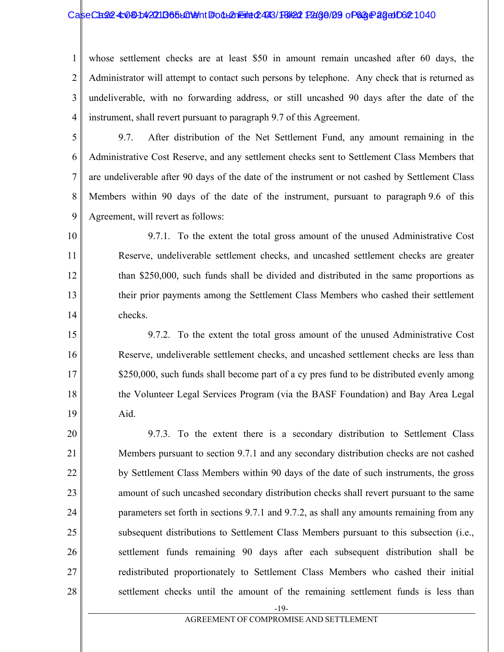#### CaseCase: 4:081:42211B65L01911 Follemeint 2493/18/22 Page/29 of 63 Page 22 of 621

1 2 3 4 whose settlement checks are at least \$50 in amount remain uncashed after 60 days, the Administrator will attempt to contact such persons by telephone. Any check that is returned as undeliverable, with no forwarding address, or still uncashed 90 days after the date of the instrument, shall revert pursuant to paragraph 9.7 of this Agreement.

5

6 7 8 9 9.7. After distribution of the Net Settlement Fund, any amount remaining in the Administrative Cost Reserve, and any settlement checks sent to Settlement Class Members that are undeliverable after 90 days of the date of the instrument or not cashed by Settlement Class Members within 90 days of the date of the instrument, pursuant to paragraph 9.6 of this Agreement, will revert as follows:

10 11 12 13 14 9.7.1. To the extent the total gross amount of the unused Administrative Cost Reserve, undeliverable settlement checks, and uncashed settlement checks are greater than \$250,000, such funds shall be divided and distributed in the same proportions as their prior payments among the Settlement Class Members who cashed their settlement checks.

15 16 17 18 19 9.7.2. To the extent the total gross amount of the unused Administrative Cost Reserve, undeliverable settlement checks, and uncashed settlement checks are less than \$250,000, such funds shall become part of a cy pres fund to be distributed evenly among the Volunteer Legal Services Program (via the BASF Foundation) and Bay Area Legal Aid.

20 21 22 23 24 25 26 27 28 9.7.3. To the extent there is a secondary distribution to Settlement Class Members pursuant to section 9.7.1 and any secondary distribution checks are not cashed by Settlement Class Members within 90 days of the date of such instruments, the gross amount of such uncashed secondary distribution checks shall revert pursuant to the same parameters set forth in sections 9.7.1 and 9.7.2, as shall any amounts remaining from any subsequent distributions to Settlement Class Members pursuant to this subsection (i.e., settlement funds remaining 90 days after each subsequent distribution shall be redistributed proportionately to Settlement Class Members who cashed their initial settlement checks until the amount of the remaining settlement funds is less than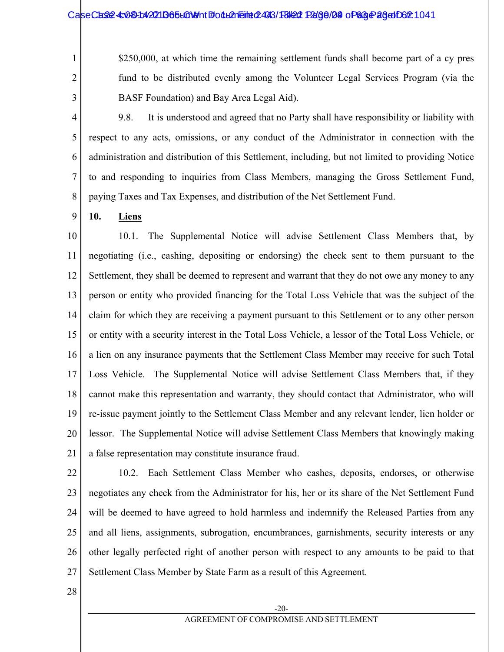#### CaseCase: 4:081:42211B65L01911 Follemeint 2493/18/22 Page/09 of 63 Page 26 of 621

\$250,000, at which time the remaining settlement funds shall become part of a cy pres fund to be distributed evenly among the Volunteer Legal Services Program (via the BASF Foundation) and Bay Area Legal Aid).

3

1

2

4 5 6 7 8 9.8. It is understood and agreed that no Party shall have responsibility or liability with respect to any acts, omissions, or any conduct of the Administrator in connection with the administration and distribution of this Settlement, including, but not limited to providing Notice to and responding to inquiries from Class Members, managing the Gross Settlement Fund, paying Taxes and Tax Expenses, and distribution of the Net Settlement Fund.

#### 9 **10. Liens**

10 11 12 13 14 15 16 17 18 19 20 21 10.1. The Supplemental Notice will advise Settlement Class Members that, by negotiating (i.e., cashing, depositing or endorsing) the check sent to them pursuant to the Settlement, they shall be deemed to represent and warrant that they do not owe any money to any person or entity who provided financing for the Total Loss Vehicle that was the subject of the claim for which they are receiving a payment pursuant to this Settlement or to any other person or entity with a security interest in the Total Loss Vehicle, a lessor of the Total Loss Vehicle, or a lien on any insurance payments that the Settlement Class Member may receive for such Total Loss Vehicle. The Supplemental Notice will advise Settlement Class Members that, if they cannot make this representation and warranty, they should contact that Administrator, who will re-issue payment jointly to the Settlement Class Member and any relevant lender, lien holder or lessor. The Supplemental Notice will advise Settlement Class Members that knowingly making a false representation may constitute insurance fraud.

22 23 24 25 26 27 10.2. Each Settlement Class Member who cashes, deposits, endorses, or otherwise negotiates any check from the Administrator for his, her or its share of the Net Settlement Fund will be deemed to have agreed to hold harmless and indemnify the Released Parties from any and all liens, assignments, subrogation, encumbrances, garnishments, security interests or any other legally perfected right of another person with respect to any amounts to be paid to that Settlement Class Member by State Farm as a result of this Agreement.

28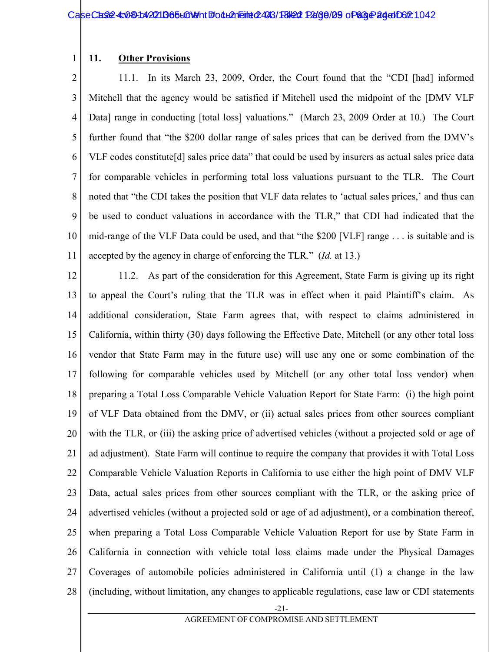#### 1 **11. Other Provisions**

2 3 4 5 6 7 8 9 10 11 11.1. In its March 23, 2009, Order, the Court found that the "CDI [had] informed Mitchell that the agency would be satisfied if Mitchell used the midpoint of the [DMV VLF Data] range in conducting [total loss] valuations." (March 23, 2009 Order at 10.) The Court further found that "the \$200 dollar range of sales prices that can be derived from the DMV's VLF codes constitute[d] sales price data" that could be used by insurers as actual sales price data for comparable vehicles in performing total loss valuations pursuant to the TLR. The Court noted that "the CDI takes the position that VLF data relates to 'actual sales prices,' and thus can be used to conduct valuations in accordance with the TLR," that CDI had indicated that the mid-range of the VLF Data could be used, and that "the \$200 [VLF] range . . . is suitable and is accepted by the agency in charge of enforcing the TLR." (*Id.* at 13.)

12 13 14 15 16 17 18 19 20 21 22 23 24 25 26 27 28 11.2. As part of the consideration for this Agreement, State Farm is giving up its right to appeal the Court's ruling that the TLR was in effect when it paid Plaintiff's claim. As additional consideration, State Farm agrees that, with respect to claims administered in California, within thirty (30) days following the Effective Date, Mitchell (or any other total loss vendor that State Farm may in the future use) will use any one or some combination of the following for comparable vehicles used by Mitchell (or any other total loss vendor) when preparing a Total Loss Comparable Vehicle Valuation Report for State Farm: (i) the high point of VLF Data obtained from the DMV, or (ii) actual sales prices from other sources compliant with the TLR, or (iii) the asking price of advertised vehicles (without a projected sold or age of ad adjustment). State Farm will continue to require the company that provides it with Total Loss Comparable Vehicle Valuation Reports in California to use either the high point of DMV VLF Data, actual sales prices from other sources compliant with the TLR, or the asking price of advertised vehicles (without a projected sold or age of ad adjustment), or a combination thereof, when preparing a Total Loss Comparable Vehicle Valuation Report for use by State Farm in California in connection with vehicle total loss claims made under the Physical Damages Coverages of automobile policies administered in California until (1) a change in the law (including, without limitation, any changes to applicable regulations, case law or CDI statements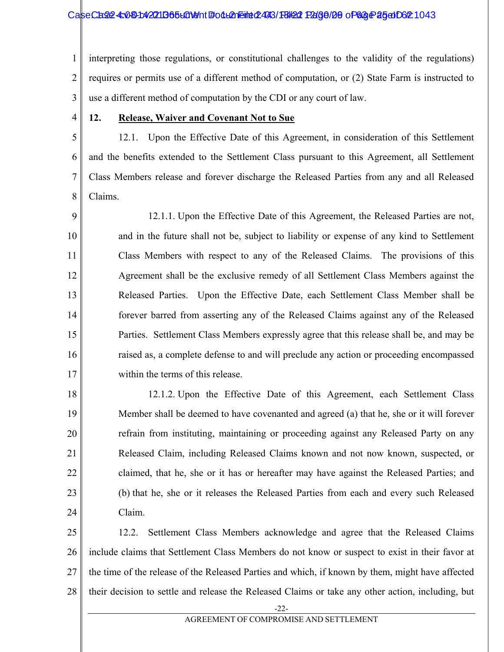#### CaseCase: 4:081:42211B65L01911 Follemeint 2493/18/22 Page/20 of 63 Page 25 of 062 1043

1 2 3 interpreting those regulations, or constitutional challenges to the validity of the regulations) requires or permits use of a different method of computation, or (2) State Farm is instructed to use a different method of computation by the CDI or any court of law.

4

#### **12. Release, Waiver and Covenant Not to Sue**

5 6 7 8 12.1. Upon the Effective Date of this Agreement, in consideration of this Settlement and the benefits extended to the Settlement Class pursuant to this Agreement, all Settlement Class Members release and forever discharge the Released Parties from any and all Released Claims.

9 10 11 12 13 14 15 16 17 12.1.1. Upon the Effective Date of this Agreement, the Released Parties are not, and in the future shall not be, subject to liability or expense of any kind to Settlement Class Members with respect to any of the Released Claims. The provisions of this Agreement shall be the exclusive remedy of all Settlement Class Members against the Released Parties. Upon the Effective Date, each Settlement Class Member shall be forever barred from asserting any of the Released Claims against any of the Released Parties. Settlement Class Members expressly agree that this release shall be, and may be raised as, a complete defense to and will preclude any action or proceeding encompassed within the terms of this release.

18 19 20 21 22 23 24 12.1.2. Upon the Effective Date of this Agreement, each Settlement Class Member shall be deemed to have covenanted and agreed (a) that he, she or it will forever refrain from instituting, maintaining or proceeding against any Released Party on any Released Claim, including Released Claims known and not now known, suspected, or claimed, that he, she or it has or hereafter may have against the Released Parties; and (b) that he, she or it releases the Released Parties from each and every such Released Claim.

25 26 27 28 12.2. Settlement Class Members acknowledge and agree that the Released Claims include claims that Settlement Class Members do not know or suspect to exist in their favor at the time of the release of the Released Parties and which, if known by them, might have affected their decision to settle and release the Released Claims or take any other action, including, but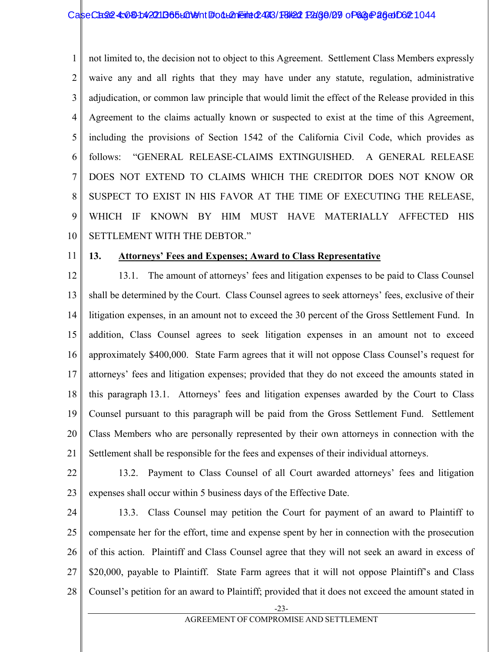1 2 3 4 5 6 7 8 9 10 not limited to, the decision not to object to this Agreement. Settlement Class Members expressly waive any and all rights that they may have under any statute, regulation, administrative adjudication, or common law principle that would limit the effect of the Release provided in this Agreement to the claims actually known or suspected to exist at the time of this Agreement, including the provisions of Section 1542 of the California Civil Code, which provides as follows: "GENERAL RELEASE-CLAIMS EXTINGUISHED. A GENERAL RELEASE DOES NOT EXTEND TO CLAIMS WHICH THE CREDITOR DOES NOT KNOW OR SUSPECT TO EXIST IN HIS FAVOR AT THE TIME OF EXECUTING THE RELEASE, WHICH IF KNOWN BY HIM MUST HAVE MATERIALLY AFFECTED HIS SETTLEMENT WITH THE DEBTOR."

11

#### **13. Attorneys' Fees and Expenses; Award to Class Representative**

12 13 14 15 16 17 18 19 20 21 13.1. The amount of attorneys' fees and litigation expenses to be paid to Class Counsel shall be determined by the Court. Class Counsel agrees to seek attorneys' fees, exclusive of their litigation expenses, in an amount not to exceed the 30 percent of the Gross Settlement Fund. In addition, Class Counsel agrees to seek litigation expenses in an amount not to exceed approximately \$400,000. State Farm agrees that it will not oppose Class Counsel's request for attorneys' fees and litigation expenses; provided that they do not exceed the amounts stated in this paragraph 13.1. Attorneys' fees and litigation expenses awarded by the Court to Class Counsel pursuant to this paragraph will be paid from the Gross Settlement Fund. Settlement Class Members who are personally represented by their own attorneys in connection with the Settlement shall be responsible for the fees and expenses of their individual attorneys.

22

23

13.2. Payment to Class Counsel of all Court awarded attorneys' fees and litigation expenses shall occur within 5 business days of the Effective Date.

24 25 26 27 28 13.3. Class Counsel may petition the Court for payment of an award to Plaintiff to compensate her for the effort, time and expense spent by her in connection with the prosecution of this action. Plaintiff and Class Counsel agree that they will not seek an award in excess of \$20,000, payable to Plaintiff. State Farm agrees that it will not oppose Plaintiff's and Class Counsel's petition for an award to Plaintiff; provided that it does not exceed the amount stated in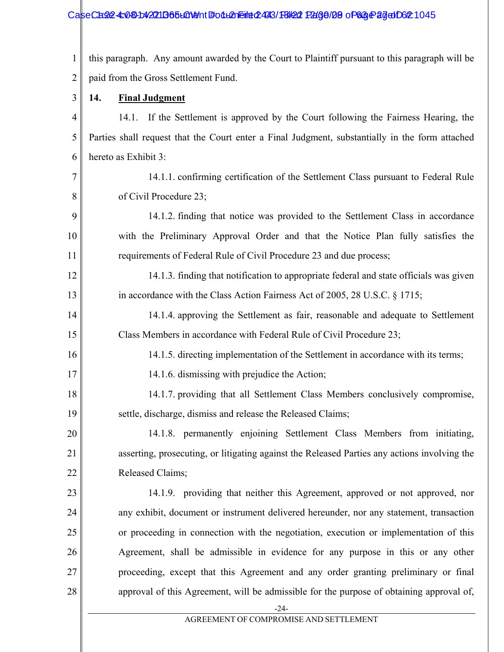#### CaseCase: 4:081:42211B65L01911 Follemeint 2493/18/22 Page/29 of 63 Page 27 document 245

1 2 this paragraph. Any amount awarded by the Court to Plaintiff pursuant to this paragraph will be paid from the Gross Settlement Fund.

3 **14. Final Judgment**

9

10

11

16

17

20

21

22

23

24

25

26

27

28

4 5 6 14.1. If the Settlement is approved by the Court following the Fairness Hearing, the Parties shall request that the Court enter a Final Judgment, substantially in the form attached hereto as Exhibit 3:

7 8 14.1.1. confirming certification of the Settlement Class pursuant to Federal Rule of Civil Procedure 23;

14.1.2. finding that notice was provided to the Settlement Class in accordance with the Preliminary Approval Order and that the Notice Plan fully satisfies the requirements of Federal Rule of Civil Procedure 23 and due process;

12 13 14.1.3. finding that notification to appropriate federal and state officials was given in accordance with the Class Action Fairness Act of 2005, 28 U.S.C. § 1715;

14 15 14.1.4. approving the Settlement as fair, reasonable and adequate to Settlement Class Members in accordance with Federal Rule of Civil Procedure 23;

14.1.5. directing implementation of the Settlement in accordance with its terms;

14.1.6. dismissing with prejudice the Action;

18 19 14.1.7. providing that all Settlement Class Members conclusively compromise, settle, discharge, dismiss and release the Released Claims;

14.1.8. permanently enjoining Settlement Class Members from initiating, asserting, prosecuting, or litigating against the Released Parties any actions involving the Released Claims;

14.1.9. providing that neither this Agreement, approved or not approved, nor any exhibit, document or instrument delivered hereunder, nor any statement, transaction or proceeding in connection with the negotiation, execution or implementation of this Agreement, shall be admissible in evidence for any purpose in this or any other proceeding, except that this Agreement and any order granting preliminary or final approval of this Agreement, will be admissible for the purpose of obtaining approval of,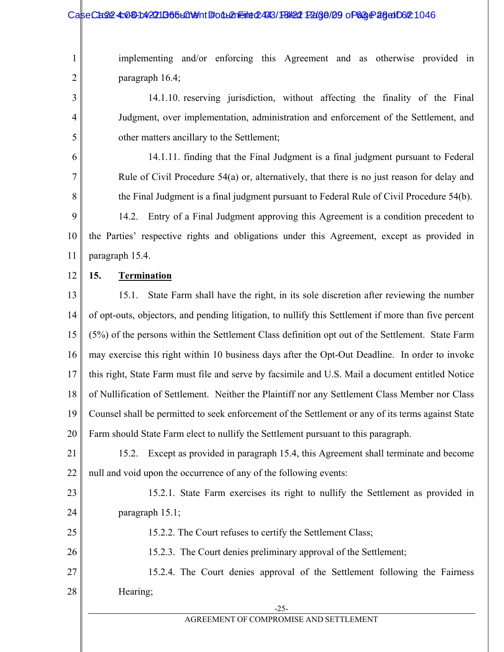#### CaseCase: 4:081:42211365L01911 Follemeint 2493/18/22 Page/29 of 63 Page 28 of 62 1046

implementing and/or enforcing this Agreement and as otherwise provided in paragraph 16.4;

14.1.10. reserving jurisdiction, without affecting the finality of the Final Judgment, over implementation, administration and enforcement of the Settlement, and other matters ancillary to the Settlement;

14.1.11. finding that the Final Judgment is a final judgment pursuant to Federal Rule of Civil Procedure 54(a) or, alternatively, that there is no just reason for delay and the Final Judgment is a final judgment pursuant to Federal Rule of Civil Procedure 54(b).

9 10 11 14.2. Entry of a Final Judgment approving this Agreement is a condition precedent to the Parties' respective rights and obligations under this Agreement, except as provided in paragraph 15.4.

12

25

1

2

3

4

5

6

7

8

## **15. Termination**

13 14 15 16 17 18 19 20 15.1. State Farm shall have the right, in its sole discretion after reviewing the number of opt-outs, objectors, and pending litigation, to nullify this Settlement if more than five percent (5%) of the persons within the Settlement Class definition opt out of the Settlement. State Farm may exercise this right within 10 business days after the Opt-Out Deadline. In order to invoke this right, State Farm must file and serve by facsimile and U.S. Mail a document entitled Notice of Nullification of Settlement. Neither the Plaintiff nor any Settlement Class Member nor Class Counsel shall be permitted to seek enforcement of the Settlement or any of its terms against State Farm should State Farm elect to nullify the Settlement pursuant to this paragraph.

21 22 15.2. Except as provided in paragraph 15.4, this Agreement shall terminate and become null and void upon the occurrence of any of the following events:

23 24 15.2.1. State Farm exercises its right to nullify the Settlement as provided in paragraph 15.1;

15.2.2. The Court refuses to certify the Settlement Class;

26 15.2.3. The Court denies preliminary approval of the Settlement;

27 28 15.2.4. The Court denies approval of the Settlement following the Fairness Hearing;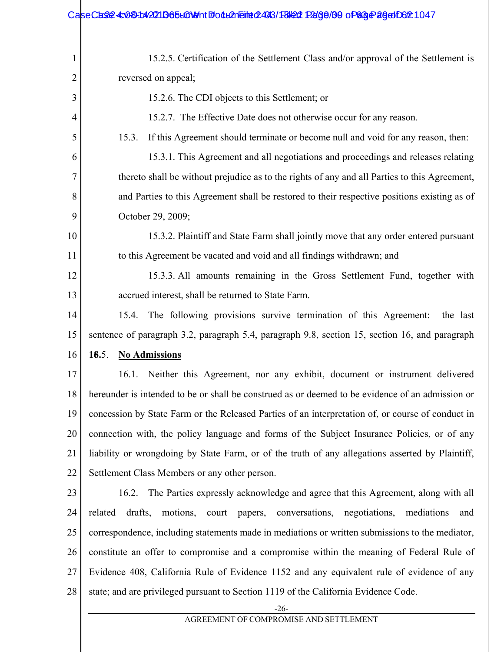| 1  | 15.2.5. Certification of the Settlement Class and/or approval of the Settlement is                         |  |  |
|----|------------------------------------------------------------------------------------------------------------|--|--|
| 2  | reversed on appeal;                                                                                        |  |  |
| 3  | 15.2.6. The CDI objects to this Settlement; or                                                             |  |  |
| 4  | 15.2.7. The Effective Date does not otherwise occur for any reason.                                        |  |  |
| 5  | If this Agreement should terminate or become null and void for any reason, then:<br>15.3.                  |  |  |
| 6  | 15.3.1. This Agreement and all negotiations and proceedings and releases relating                          |  |  |
| 7  | thereto shall be without prejudice as to the rights of any and all Parties to this Agreement,              |  |  |
| 8  | and Parties to this Agreement shall be restored to their respective positions existing as of               |  |  |
| 9  | October 29, 2009;                                                                                          |  |  |
| 10 | 15.3.2. Plaintiff and State Farm shall jointly move that any order entered pursuant                        |  |  |
| 11 | to this Agreement be vacated and void and all findings withdrawn; and                                      |  |  |
| 12 | 15.3.3. All amounts remaining in the Gross Settlement Fund, together with                                  |  |  |
| 13 | accrued interest, shall be returned to State Farm.                                                         |  |  |
| 14 | The following provisions survive termination of this Agreement:<br>15.4.<br>the last                       |  |  |
| 15 | sentence of paragraph 3.2, paragraph 5.4, paragraph 9.8, section 15, section 16, and paragraph             |  |  |
| 16 | 16.5.<br><b>No Admissions</b>                                                                              |  |  |
| 17 | Neither this Agreement, nor any exhibit, document or instrument delivered<br>16.1.                         |  |  |
| 18 | hereunder is intended to be or shall be construed as or deemed to be evidence of an admission or           |  |  |
| 19 | concession by State Farm or the Released Parties of an interpretation of, or course of conduct in          |  |  |
| 20 | connection with, the policy language and forms of the Subject Insurance Policies, or of any                |  |  |
| 21 | liability or wrongdoing by State Farm, or of the truth of any allegations asserted by Plaintiff,           |  |  |
| 22 | Settlement Class Members or any other person.                                                              |  |  |
| 23 | The Parties expressly acknowledge and agree that this Agreement, along with all<br>16.2.                   |  |  |
| 24 | related<br>drafts,<br>motions,<br>conversations,<br>negotiations,<br>mediations<br>court<br>papers,<br>and |  |  |
| 25 | correspondence, including statements made in mediations or written submissions to the mediator,            |  |  |
| 26 | constitute an offer to compromise and a compromise within the meaning of Federal Rule of                   |  |  |
| 27 | Evidence 408, California Rule of Evidence 1152 and any equivalent rule of evidence of any                  |  |  |
| 28 | state; and are privileged pursuant to Section 1119 of the California Evidence Code.                        |  |  |
|    | $-26-$<br>AGREEMENT OF COMPROMISE AND SETTLEMENT                                                           |  |  |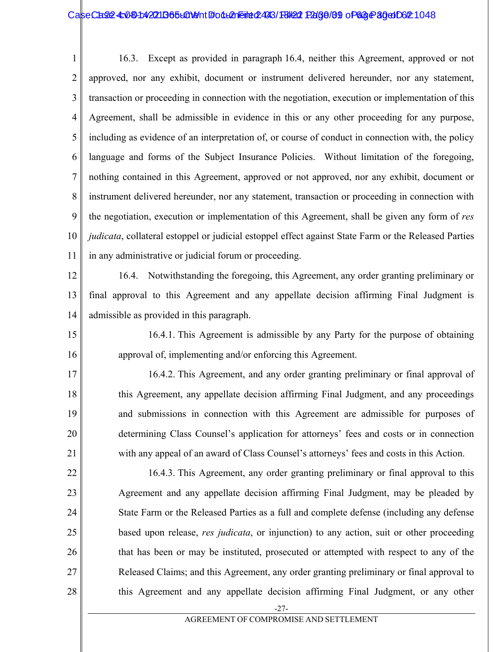#### CaseCase: 4:081:42211B65L01911 Follemeint 2493/18/22 Page/89 of 63 Page 30 of 62:1048

1 2 3 4 5 6 7 8 9 10 11 16.3. Except as provided in paragraph 16.4, neither this Agreement, approved or not approved, nor any exhibit, document or instrument delivered hereunder, nor any statement, transaction or proceeding in connection with the negotiation, execution or implementation of this Agreement, shall be admissible in evidence in this or any other proceeding for any purpose, including as evidence of an interpretation of, or course of conduct in connection with, the policy language and forms of the Subject Insurance Policies. Without limitation of the foregoing, nothing contained in this Agreement, approved or not approved, nor any exhibit, document or instrument delivered hereunder, nor any statement, transaction or proceeding in connection with the negotiation, execution or implementation of this Agreement, shall be given any form of *res judicata*, collateral estoppel or judicial estoppel effect against State Farm or the Released Parties in any administrative or judicial forum or proceeding.

12 13 14 16.4. Notwithstanding the foregoing, this Agreement, any order granting preliminary or final approval to this Agreement and any appellate decision affirming Final Judgment is admissible as provided in this paragraph.

15 16 16.4.1. This Agreement is admissible by any Party for the purpose of obtaining approval of, implementing and/or enforcing this Agreement.

17 18 19 20 21 16.4.2. This Agreement, and any order granting preliminary or final approval of this Agreement, any appellate decision affirming Final Judgment, and any proceedings and submissions in connection with this Agreement are admissible for purposes of determining Class Counsel's application for attorneys' fees and costs or in connection with any appeal of an award of Class Counsel's attorneys' fees and costs in this Action.

22 23 24 25 26 27 28 16.4.3. This Agreement, any order granting preliminary or final approval to this Agreement and any appellate decision affirming Final Judgment, may be pleaded by State Farm or the Released Parties as a full and complete defense (including any defense based upon release, *res judicata*, or injunction) to any action, suit or other proceeding that has been or may be instituted, prosecuted or attempted with respect to any of the Released Claims; and this Agreement, any order granting preliminary or final approval to this Agreement and any appellate decision affirming Final Judgment, or any other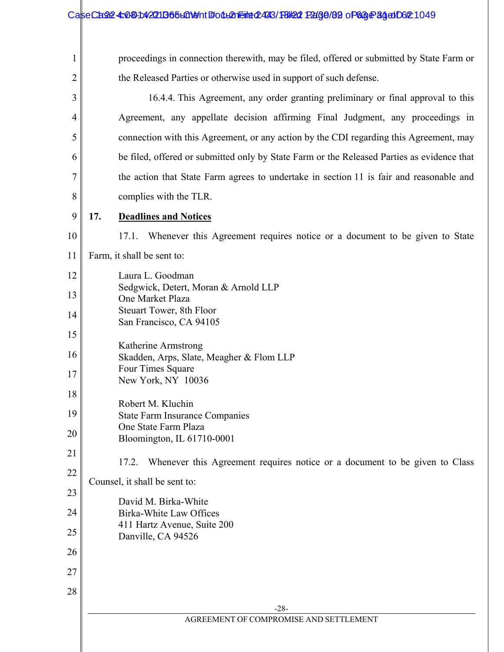## CaseCase: 4:08-1:42011365 LOMent #: 04 LOME #: 1048/18/22 Page / 1049 of 63 Page 34 do Document 244 S

| 1              | proceedings in connection therewith, may be filed, offered or submitted by State Farm or                             |  |  |  |
|----------------|----------------------------------------------------------------------------------------------------------------------|--|--|--|
| $\overline{2}$ | the Released Parties or otherwise used in support of such defense.                                                   |  |  |  |
| 3              | 16.4.4. This Agreement, any order granting preliminary or final approval to this                                     |  |  |  |
| 4              | Agreement, any appellate decision affirming Final Judgment, any proceedings in                                       |  |  |  |
| 5              | connection with this Agreement, or any action by the CDI regarding this Agreement, may                               |  |  |  |
| 6              | be filed, offered or submitted only by State Farm or the Released Parties as evidence that                           |  |  |  |
| 7              | the action that State Farm agrees to undertake in section 11 is fair and reasonable and                              |  |  |  |
| 8              | complies with the TLR.                                                                                               |  |  |  |
| 9              | 17.<br><b>Deadlines and Notices</b>                                                                                  |  |  |  |
| 10             | 17.1. Whenever this Agreement requires notice or a document to be given to State                                     |  |  |  |
| 11             | Farm, it shall be sent to:                                                                                           |  |  |  |
| 12             | Laura L. Goodman                                                                                                     |  |  |  |
| 13             | Sedgwick, Detert, Moran & Arnold LLP<br>One Market Plaza                                                             |  |  |  |
| 14             | Steuart Tower, 8th Floor<br>San Francisco, CA 94105                                                                  |  |  |  |
| 15             |                                                                                                                      |  |  |  |
| 16             | Katherine Armstrong<br>Skadden, Arps, Slate, Meagher & Flom LLP                                                      |  |  |  |
| 17             | Four Times Square<br>New York, NY 10036                                                                              |  |  |  |
| 18             |                                                                                                                      |  |  |  |
| 19             | Robert M. Kluchin<br><b>State Farm Insurance Companies</b><br>One State Farm Plaza<br>Bloomington, IL 61710-0001     |  |  |  |
| 20             |                                                                                                                      |  |  |  |
| 21             |                                                                                                                      |  |  |  |
| 22             | Whenever this Agreement requires notice or a document to be given to Class<br>17.2.<br>Counsel, it shall be sent to: |  |  |  |
| 23             |                                                                                                                      |  |  |  |
| 24             | David M. Birka-White<br>Birka-White Law Offices                                                                      |  |  |  |
| 25             | 411 Hartz Avenue, Suite 200<br>Danville, CA 94526                                                                    |  |  |  |
| 26             |                                                                                                                      |  |  |  |
| 27             |                                                                                                                      |  |  |  |
| 28             |                                                                                                                      |  |  |  |
|                | $-28-$                                                                                                               |  |  |  |
|                | AGREEMENT OF COMPROMISE AND SETTLEMENT                                                                               |  |  |  |
|                |                                                                                                                      |  |  |  |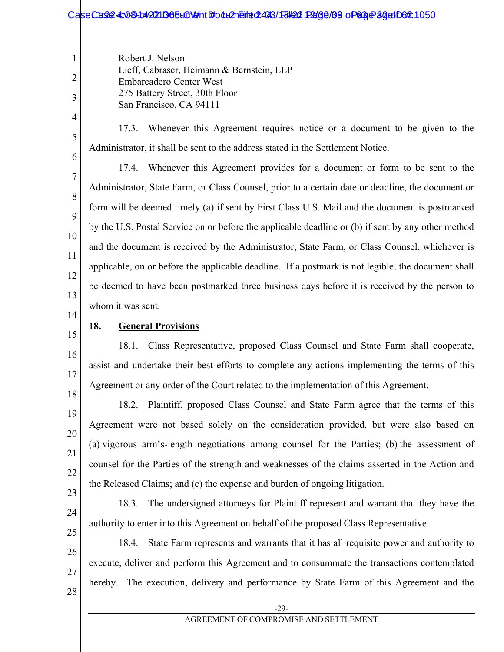# CaseCase: 4:081:42211B65L01911 Follemeint 2493/18/22 Page/89 of 63 Page 32 of 621

Robert J. Nelson Lieff, Cabraser, Heimann & Bernstein, LLP Embarcadero Center West 275 Battery Street, 30th Floor San Francisco, CA 94111

- 17.3. Whenever this Agreement requires notice or a document to be given to the Administrator, it shall be sent to the address stated in the Settlement Notice.
- 6

7

8

9

10

11

12

13

1

2

3

4

5

17.4. Whenever this Agreement provides for a document or form to be sent to the Administrator, State Farm, or Class Counsel, prior to a certain date or deadline, the document or form will be deemed timely (a) if sent by First Class U.S. Mail and the document is postmarked by the U.S. Postal Service on or before the applicable deadline or (b) if sent by any other method and the document is received by the Administrator, State Farm, or Class Counsel, whichever is applicable, on or before the applicable deadline. If a postmark is not legible, the document shall be deemed to have been postmarked three business days before it is received by the person to whom it was sent.

- 14
- 15

16

17

18

19

20

21

22

## **18. General Provisions**

18.1. Class Representative, proposed Class Counsel and State Farm shall cooperate, assist and undertake their best efforts to complete any actions implementing the terms of this Agreement or any order of the Court related to the implementation of this Agreement.

18.2. Plaintiff, proposed Class Counsel and State Farm agree that the terms of this Agreement were not based solely on the consideration provided, but were also based on (a) vigorous arm's-length negotiations among counsel for the Parties; (b) the assessment of counsel for the Parties of the strength and weaknesses of the claims asserted in the Action and the Released Claims; and (c) the expense and burden of ongoing litigation.

23 24

18.3. The undersigned attorneys for Plaintiff represent and warrant that they have the authority to enter into this Agreement on behalf of the proposed Class Representative.

- 25 26 27 18.4. State Farm represents and warrants that it has all requisite power and authority to execute, deliver and perform this Agreement and to consummate the transactions contemplated hereby. The execution, delivery and performance by State Farm of this Agreement and the
	- -29-

28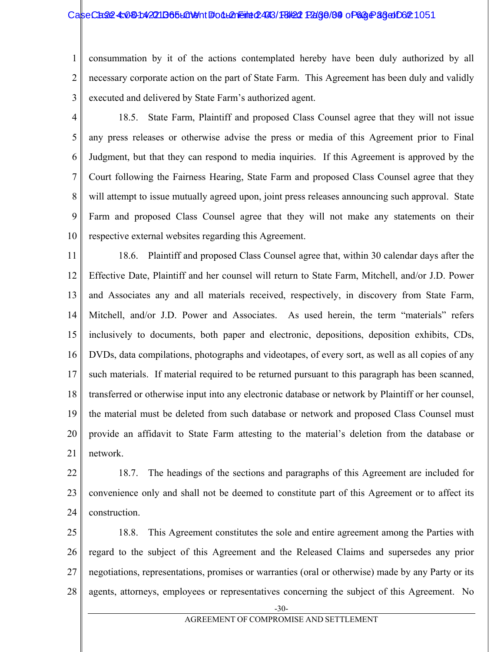#### CaseCase: 4:081:42211365L01911 Follemeint 2493/18/22 Page/89 of 63 Page 36 dD6 21051

1 2 3 consummation by it of the actions contemplated hereby have been duly authorized by all necessary corporate action on the part of State Farm. This Agreement has been duly and validly executed and delivered by State Farm's authorized agent.

4 5 6 7 8 9 10 18.5. State Farm, Plaintiff and proposed Class Counsel agree that they will not issue any press releases or otherwise advise the press or media of this Agreement prior to Final Judgment, but that they can respond to media inquiries. If this Agreement is approved by the Court following the Fairness Hearing, State Farm and proposed Class Counsel agree that they will attempt to issue mutually agreed upon, joint press releases announcing such approval. State Farm and proposed Class Counsel agree that they will not make any statements on their respective external websites regarding this Agreement.

11 12 13 14 15 16 17 18 19 20 21 18.6. Plaintiff and proposed Class Counsel agree that, within 30 calendar days after the Effective Date, Plaintiff and her counsel will return to State Farm, Mitchell, and/or J.D. Power and Associates any and all materials received, respectively, in discovery from State Farm, Mitchell, and/or J.D. Power and Associates. As used herein, the term "materials" refers inclusively to documents, both paper and electronic, depositions, deposition exhibits, CDs, DVDs, data compilations, photographs and videotapes, of every sort, as well as all copies of any such materials. If material required to be returned pursuant to this paragraph has been scanned, transferred or otherwise input into any electronic database or network by Plaintiff or her counsel, the material must be deleted from such database or network and proposed Class Counsel must provide an affidavit to State Farm attesting to the material's deletion from the database or network.

- 22 23 24 18.7. The headings of the sections and paragraphs of this Agreement are included for convenience only and shall not be deemed to constitute part of this Agreement or to affect its construction.
- 25 26 27 28 18.8. This Agreement constitutes the sole and entire agreement among the Parties with regard to the subject of this Agreement and the Released Claims and supersedes any prior negotiations, representations, promises or warranties (oral or otherwise) made by any Party or its agents, attorneys, employees or representatives concerning the subject of this Agreement. No

-30-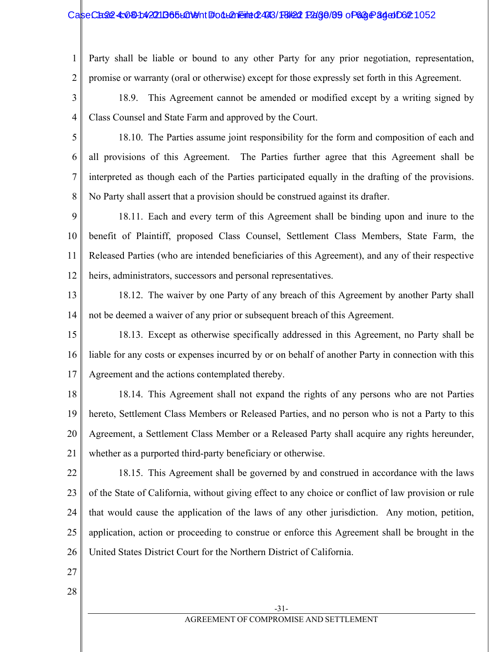#### CaseCase: 4:081:42211B65L01911 Follemeint 2493/18/22 Page/89 of 63 Page 34 of 062 1052

1 2 Party shall be liable or bound to any other Party for any prior negotiation, representation, promise or warranty (oral or otherwise) except for those expressly set forth in this Agreement.

3 4 18.9. This Agreement cannot be amended or modified except by a writing signed by Class Counsel and State Farm and approved by the Court.

5 6 7 8 18.10. The Parties assume joint responsibility for the form and composition of each and all provisions of this Agreement. The Parties further agree that this Agreement shall be interpreted as though each of the Parties participated equally in the drafting of the provisions. No Party shall assert that a provision should be construed against its drafter.

9 10 11 12 18.11. Each and every term of this Agreement shall be binding upon and inure to the benefit of Plaintiff, proposed Class Counsel, Settlement Class Members, State Farm, the Released Parties (who are intended beneficiaries of this Agreement), and any of their respective heirs, administrators, successors and personal representatives.

13 14 18.12. The waiver by one Party of any breach of this Agreement by another Party shall not be deemed a waiver of any prior or subsequent breach of this Agreement.

15 16 17 18.13. Except as otherwise specifically addressed in this Agreement, no Party shall be liable for any costs or expenses incurred by or on behalf of another Party in connection with this Agreement and the actions contemplated thereby.

18 19 20 21 18.14. This Agreement shall not expand the rights of any persons who are not Parties hereto, Settlement Class Members or Released Parties, and no person who is not a Party to this Agreement, a Settlement Class Member or a Released Party shall acquire any rights hereunder, whether as a purported third-party beneficiary or otherwise.

22 23 24 25 26 18.15. This Agreement shall be governed by and construed in accordance with the laws of the State of California, without giving effect to any choice or conflict of law provision or rule that would cause the application of the laws of any other jurisdiction. Any motion, petition, application, action or proceeding to construe or enforce this Agreement shall be brought in the United States District Court for the Northern District of California.

- 27
- 28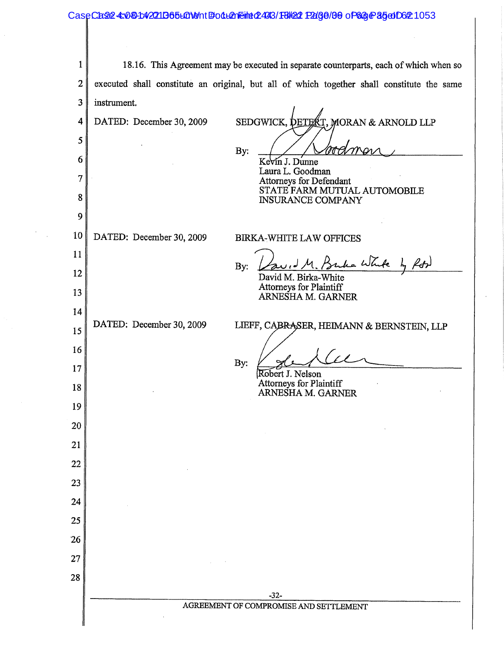#### CaseCase: 4:08 h4271 D65 LGN ent # 04 Lenement 2493/18/22 Page 09 of 63 Page 35 of 062 1053

 $\mathbf{1}$ 18.16. This Agreement may be executed in separate counterparts, each of which when so  $\overline{2}$ executed shall constitute an original, but all of which together shall constitute the same  $\overline{3}$ instrument. SEDGWICK, **betekt.** 4 DATED: December 30, 2009 MORAN & ARNOLD LLP  $\mathfrak{s}$ By: 6 Kevin J. Dunne Laura L. Goodman  $\overline{7}$ Attorneys for Defendant STATE FARM MUTUAL AUTOMOBILE 8 **INSURANCE COMPANY** 9 10 DATED: December 30, 2009 **BIRKA-WHITE LAW OFFICES** 11 the White by ford By: 12 David M. Birka-White Attorneys for Plaintiff 13 ARNESHA M. GARNER 14 DATED: December 30, 2009 LIEFF, CABRASER, HEIMANN & BERNSTEIN, LLP 15 16  $\ell$ By: 17 Robert J. Nelson **Attorneys for Plaintiff** 18 ARNESHA M. GARNER 19 20 21 22 23 24 25 26 27 28 -32-AGREEMENT OF COMPROMISE AND SETTLEMENT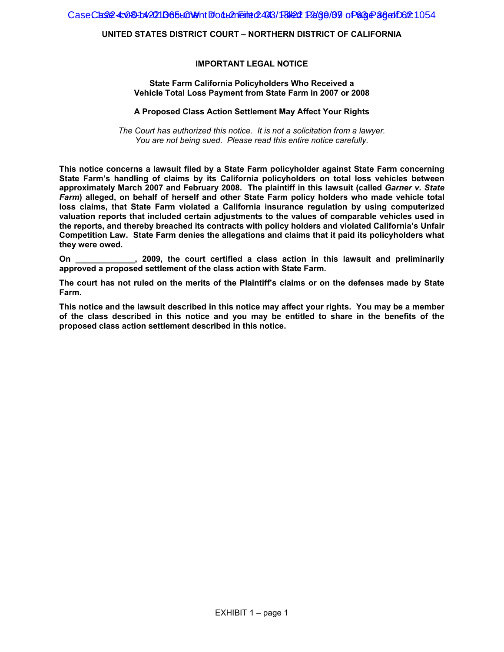CaseCase: 4:081:42211365L01011t #001L21Eint 02493/18/22 Page/09 of 63 Page 36 of 021

#### **UNITED STATES DISTRICT COURT – NORTHERN DISTRICT OF CALIFORNIA**

#### **IMPORTANT LEGAL NOTICE**

#### **State Farm California Policyholders Who Received a Vehicle Total Loss Payment from State Farm in 2007 or 2008**

#### **A Proposed Class Action Settlement May Affect Your Rights**

*The Court has authorized this notice. It is not a solicitation from a lawyer. You are not being sued. Please read this entire notice carefully.*

**This notice concerns a lawsuit filed by a State Farm policyholder against State Farm concerning State Farm's handling of claims by its California policyholders on total loss vehicles between approximately March 2007 and February 2008. The plaintiff in this lawsuit (called** *Garner v. State Farm***) alleged, on behalf of herself and other State Farm policy holders who made vehicle total loss claims, that State Farm violated a California insurance regulation by using computerized valuation reports that included certain adjustments to the values of comparable vehicles used in the reports, and thereby breached its contracts with policy holders and violated California's Unfair Competition Law. State Farm denies the allegations and claims that it paid its policyholders what they were owed.** 

**On \_\_\_\_\_\_\_\_\_\_\_\_\_, 2009, the court certified a class action in this lawsuit and preliminarily approved a proposed settlement of the class action with State Farm.** 

**The court has not ruled on the merits of the Plaintiff's claims or on the defenses made by State Farm.** 

**This notice and the lawsuit described in this notice may affect your rights. You may be a member of the class described in this notice and you may be entitled to share in the benefits of the proposed class action settlement described in this notice.**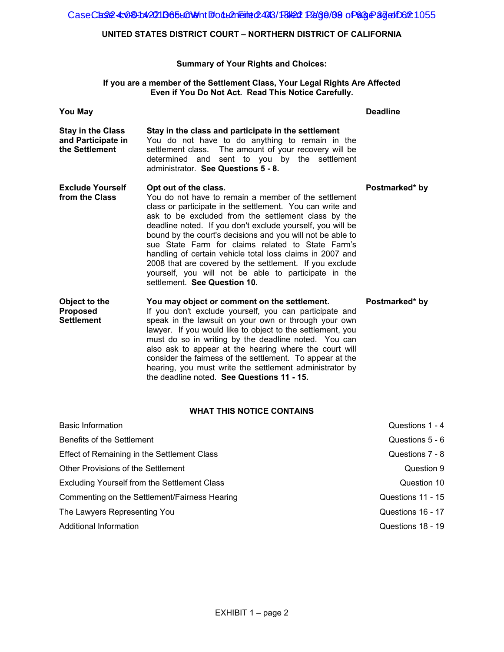CaseCa22 4:08-1:42211365 LaNet #od Lanette 2493/18/22 Page /89 of 63 Page 37 do Do2 1055

#### **UNITED STATES DISTRICT COURT – NORTHERN DISTRICT OF CALIFORNIA**

#### **Summary of Your Rights and Choices:**

#### **If you are a member of the Settlement Class, Your Legal Rights Are Affected Even if You Do Not Act. Read This Notice Carefully.**

| <b>You May</b>                                                   |                                                                                                                                                                                                                                                                                                                                                                                                                                                                                                                                                                                                    | <b>Deadline</b> |
|------------------------------------------------------------------|----------------------------------------------------------------------------------------------------------------------------------------------------------------------------------------------------------------------------------------------------------------------------------------------------------------------------------------------------------------------------------------------------------------------------------------------------------------------------------------------------------------------------------------------------------------------------------------------------|-----------------|
| <b>Stay in the Class</b><br>and Participate in<br>the Settlement | Stay in the class and participate in the settlement<br>You do not have to do anything to remain in the<br>settlement class. The amount of your recovery will be<br>determined and sent to you by the settlement<br>administrator. See Questions 5 - 8.                                                                                                                                                                                                                                                                                                                                             |                 |
| <b>Exclude Yourself</b><br>from the Class                        | Opt out of the class.<br>You do not have to remain a member of the settlement<br>class or participate in the settlement. You can write and<br>ask to be excluded from the settlement class by the<br>deadline noted. If you don't exclude yourself, you will be<br>bound by the court's decisions and you will not be able to<br>sue State Farm for claims related to State Farm's<br>handling of certain vehicle total loss claims in 2007 and<br>2008 that are covered by the settlement. If you exclude<br>yourself, you will not be able to participate in the<br>settlement. See Question 10. | Postmarked* by  |
| Object to the<br><b>Proposed</b><br><b>Settlement</b>            | You may object or comment on the settlement.<br>If you don't exclude yourself, you can participate and<br>speak in the lawsuit on your own or through your own<br>lawyer. If you would like to object to the settlement, you<br>must do so in writing by the deadline noted. You can<br>also ask to appear at the hearing where the court will<br>consider the fairness of the settlement. To appear at the<br>hearing, you must write the settlement administrator by<br>the deadline noted. See Questions 11 - 15.                                                                               | Postmarked* by  |

#### **WHAT THIS NOTICE CONTAINS**

| <b>Basic Information</b>                      | Questions 1 - 4   |
|-----------------------------------------------|-------------------|
| Benefits of the Settlement                    | Questions 5 - 6   |
| Effect of Remaining in the Settlement Class   | Questions 7 - 8   |
| Other Provisions of the Settlement            | Question 9        |
| Excluding Yourself from the Settlement Class  | Question 10       |
| Commenting on the Settlement/Fairness Hearing | Questions 11 - 15 |
| The Lawyers Representing You                  | Questions 16 - 17 |
| Additional Information                        | Questions 18 - 19 |
|                                               |                   |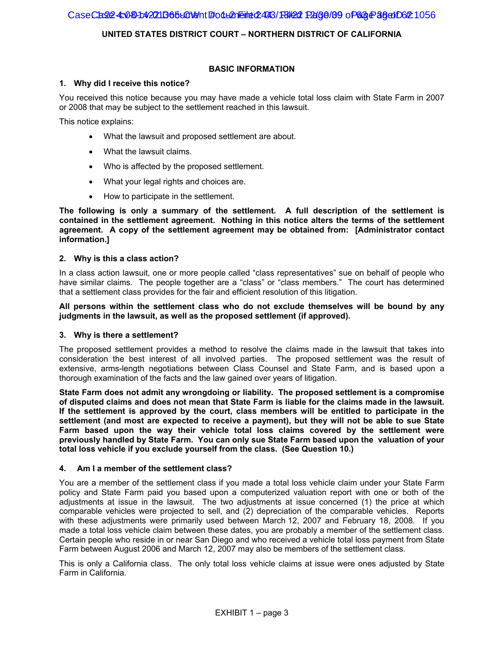#### **BASIC INFORMATION**

#### **1. Why did I receive this notice?**

You received this notice because you may have made a vehicle total loss claim with State Farm in 2007 or 2008 that may be subject to the settlement reached in this lawsuit.

This notice explains:

- What the lawsuit and proposed settlement are about.
- What the lawsuit claims.
- Who is affected by the proposed settlement.
- What your legal rights and choices are.
- How to participate in the settlement.

**The following is only a summary of the settlement. A full description of the settlement is contained in the settlement agreement. Nothing in this notice alters the terms of the settlement agreement. A copy of the settlement agreement may be obtained from: [Administrator contact information.]** 

#### **2. Why is this a class action?**

In a class action lawsuit, one or more people called "class representatives" sue on behalf of people who have similar claims. The people together are a "class" or "class members." The court has determined that a settlement class provides for the fair and efficient resolution of this litigation.

#### **All persons within the settlement class who do not exclude themselves will be bound by any judgments in the lawsuit, as well as the proposed settlement (if approved).**

#### **3. Why is there a settlement?**

The proposed settlement provides a method to resolve the claims made in the lawsuit that takes into consideration the best interest of all involved parties. The proposed settlement was the result of extensive, arms-length negotiations between Class Counsel and State Farm, and is based upon a thorough examination of the facts and the law gained over years of litigation.

**State Farm does not admit any wrongdoing or liability. The proposed settlement is a compromise of disputed claims and does not mean that State Farm is liable for the claims made in the lawsuit. If the settlement is approved by the court, class members will be entitled to participate in the settlement (and most are expected to receive a payment), but they will not be able to sue State Farm based upon the way their vehicle total loss claims covered by the settlement were previously handled by State Farm. You can only sue State Farm based upon the valuation of your total loss vehicle if you exclude yourself from the class. (See Question 10.)** 

#### **4. Am I a member of the settlement class?**

You are a member of the settlement class if you made a total loss vehicle claim under your State Farm policy and State Farm paid you based upon a computerized valuation report with one or both of the adjustments at issue in the lawsuit. The two adjustments at issue concerned (1) the price at which comparable vehicles were projected to sell, and (2) depreciation of the comparable vehicles. Reports with these adjustments were primarily used between March 12, 2007 and February 18, 2008. If you made a total loss vehicle claim between these dates, you are probably a member of the settlement class. Certain people who reside in or near San Diego and who received a vehicle total loss payment from State Farm between August 2006 and March 12, 2007 may also be members of the settlement class.

This is only a California class. The only total loss vehicle claims at issue were ones adjusted by State Farm in California.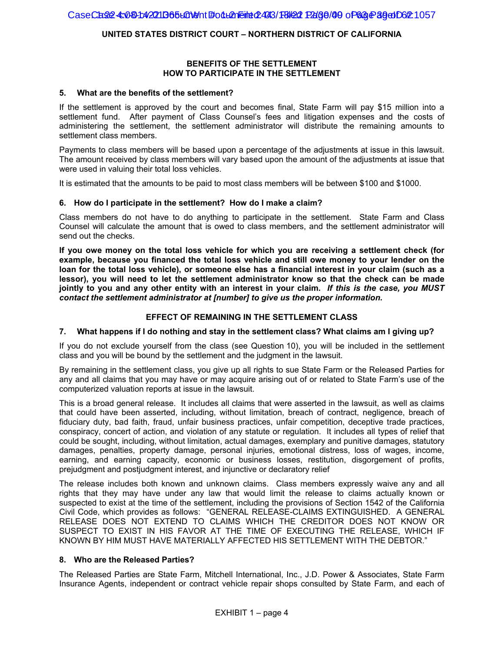#### **BENEFITS OF THE SETTLEMENT HOW TO PARTICIPATE IN THE SETTLEMENT**

#### **5. What are the benefits of the settlement?**

If the settlement is approved by the court and becomes final, State Farm will pay \$15 million into a settlement fund. After payment of Class Counsel's fees and litigation expenses and the costs of administering the settlement, the settlement administrator will distribute the remaining amounts to settlement class members.

Payments to class members will be based upon a percentage of the adjustments at issue in this lawsuit. The amount received by class members will vary based upon the amount of the adjustments at issue that were used in valuing their total loss vehicles.

It is estimated that the amounts to be paid to most class members will be between \$100 and \$1000.

#### **6. How do I participate in the settlement? How do I make a claim?**

Class members do not have to do anything to participate in the settlement. State Farm and Class Counsel will calculate the amount that is owed to class members, and the settlement administrator will send out the checks.

**If you owe money on the total loss vehicle for which you are receiving a settlement check (for example, because you financed the total loss vehicle and still owe money to your lender on the loan for the total loss vehicle), or someone else has a financial interest in your claim (such as a lessor), you will need to let the settlement administrator know so that the check can be made jointly to you and any other entity with an interest in your claim.** *If this is the case, you MUST contact the settlement administrator at [number] to give us the proper information.*

#### **EFFECT OF REMAINING IN THE SETTLEMENT CLASS**

#### **7. What happens if I do nothing and stay in the settlement class? What claims am I giving up?**

If you do not exclude yourself from the class (see Question 10), you will be included in the settlement class and you will be bound by the settlement and the judgment in the lawsuit.

By remaining in the settlement class, you give up all rights to sue State Farm or the Released Parties for any and all claims that you may have or may acquire arising out of or related to State Farm's use of the computerized valuation reports at issue in the lawsuit.

This is a broad general release. It includes all claims that were asserted in the lawsuit, as well as claims that could have been asserted, including, without limitation, breach of contract, negligence, breach of fiduciary duty, bad faith, fraud, unfair business practices, unfair competition, deceptive trade practices, conspiracy, concert of action, and violation of any statute or regulation. It includes all types of relief that could be sought, including, without limitation, actual damages, exemplary and punitive damages, statutory damages, penalties, property damage, personal injuries, emotional distress, loss of wages, income, earning, and earning capacity, economic or business losses, restitution, disgorgement of profits, prejudgment and postjudgment interest, and injunctive or declaratory relief

The release includes both known and unknown claims. Class members expressly waive any and all rights that they may have under any law that would limit the release to claims actually known or suspected to exist at the time of the settlement, including the provisions of Section 1542 of the California Civil Code, which provides as follows: "GENERAL RELEASE-CLAIMS EXTINGUISHED. A GENERAL RELEASE DOES NOT EXTEND TO CLAIMS WHICH THE CREDITOR DOES NOT KNOW OR SUSPECT TO EXIST IN HIS FAVOR AT THE TIME OF EXECUTING THE RELEASE, WHICH IF KNOWN BY HIM MUST HAVE MATERIALLY AFFECTED HIS SETTLEMENT WITH THE DEBTOR."

#### **8. Who are the Released Parties?**

The Released Parties are State Farm, Mitchell International, Inc., J.D. Power & Associates, State Farm Insurance Agents, independent or contract vehicle repair shops consulted by State Farm, and each of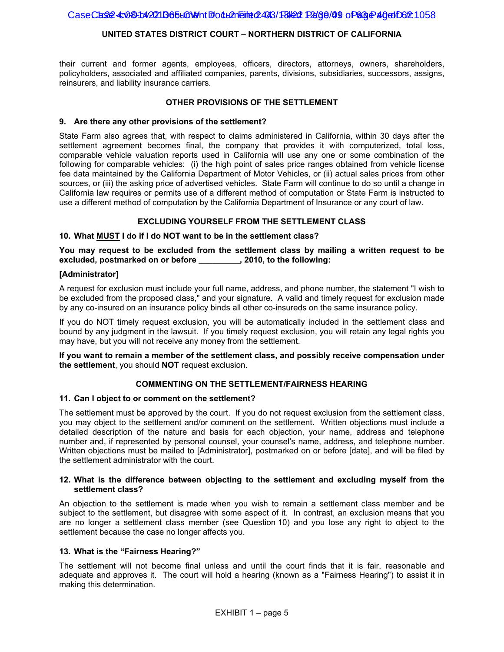their current and former agents, employees, officers, directors, attorneys, owners, shareholders, policyholders, associated and affiliated companies, parents, divisions, subsidiaries, successors, assigns, reinsurers, and liability insurance carriers.

#### **OTHER PROVISIONS OF THE SETTLEMENT**

#### **9. Are there any other provisions of the settlement?**

State Farm also agrees that, with respect to claims administered in California, within 30 days after the settlement agreement becomes final, the company that provides it with computerized, total loss, comparable vehicle valuation reports used in California will use any one or some combination of the following for comparable vehicles: (i) the high point of sales price ranges obtained from vehicle license fee data maintained by the California Department of Motor Vehicles, or (ii) actual sales prices from other sources, or (iii) the asking price of advertised vehicles. State Farm will continue to do so until a change in California law requires or permits use of a different method of computation or State Farm is instructed to use a different method of computation by the California Department of Insurance or any court of law.

#### **EXCLUDING YOURSELF FROM THE SETTLEMENT CLASS**

#### **10. What MUST I do if I do NOT want to be in the settlement class?**

**You may request to be excluded from the settlement class by mailing a written request to be excluded, postmarked on or before \_\_\_\_\_\_\_\_\_, 2010, to the following:** 

#### **[Administrator]**

A request for exclusion must include your full name, address, and phone number, the statement "I wish to be excluded from the proposed class," and your signature. A valid and timely request for exclusion made by any co-insured on an insurance policy binds all other co-insureds on the same insurance policy.

If you do NOT timely request exclusion, you will be automatically included in the settlement class and bound by any judgment in the lawsuit. If you timely request exclusion, you will retain any legal rights you may have, but you will not receive any money from the settlement.

**If you want to remain a member of the settlement class, and possibly receive compensation under the settlement**, you should **NOT** request exclusion.

#### **COMMENTING ON THE SETTLEMENT/FAIRNESS HEARING**

#### **11. Can I object to or comment on the settlement?**

The settlement must be approved by the court. If you do not request exclusion from the settlement class, you may object to the settlement and/or comment on the settlement. Written objections must include a detailed description of the nature and basis for each objection, your name, address and telephone number and, if represented by personal counsel, your counsel's name, address, and telephone number. Written objections must be mailed to [Administrator], postmarked on or before [date], and will be filed by the settlement administrator with the court.

#### **12. What is the difference between objecting to the settlement and excluding myself from the settlement class?**

An objection to the settlement is made when you wish to remain a settlement class member and be subject to the settlement, but disagree with some aspect of it. In contrast, an exclusion means that you are no longer a settlement class member (see Question 10) and you lose any right to object to the settlement because the case no longer affects you.

#### **13. What is the "Fairness Hearing?"**

The settlement will not become final unless and until the court finds that it is fair, reasonable and adequate and approves it. The court will hold a hearing (known as a "Fairness Hearing") to assist it in making this determination.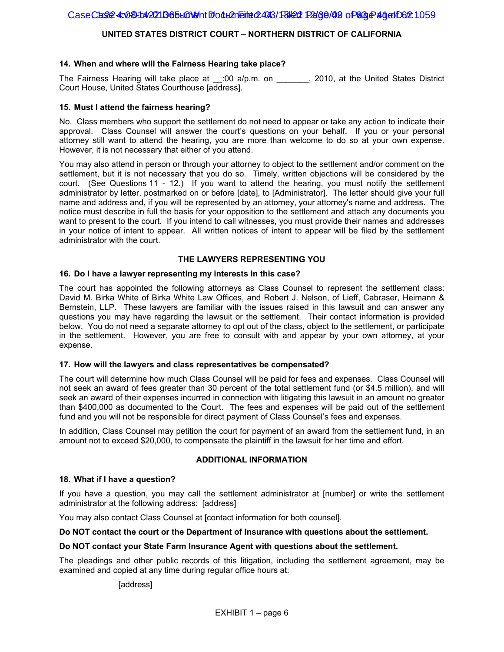#### **14. When and where will the Fairness Hearing take place?**

The Fairness Hearing will take place at  $\therefore$  :00 a/p.m. on  $\therefore$  2010, at the United States District Court House, United States Courthouse [address].

#### **15. Must I attend the fairness hearing?**

No. Class members who support the settlement do not need to appear or take any action to indicate their approval. Class Counsel will answer the court's questions on your behalf. If you or your personal attorney still want to attend the hearing, you are more than welcome to do so at your own expense. However, it is not necessary that either of you attend.

You may also attend in person or through your attorney to object to the settlement and/or comment on the settlement, but it is not necessary that you do so. Timely, written objections will be considered by the court. (See Questions 11 - 12.) If you want to attend the hearing, you must notify the settlement administrator by letter, postmarked on or before [date], to [Administrator]. The letter should give your full name and address and, if you will be represented by an attorney, your attorney's name and address. The notice must describe in full the basis for your opposition to the settlement and attach any documents you want to present to the court. If you intend to call witnesses, you must provide their names and addresses in your notice of intent to appear. All written notices of intent to appear will be filed by the settlement administrator with the court.

#### **THE LAWYERS REPRESENTING YOU**

#### **16. Do I have a lawyer representing my interests in this case?**

The court has appointed the following attorneys as Class Counsel to represent the settlement class: David M. Birka White of Birka White Law Offices, and Robert J. Nelson, of Lieff, Cabraser, Heimann & Bernstein, LLP. These lawyers are familiar with the issues raised in this lawsuit and can answer any questions you may have regarding the lawsuit or the settlement. Their contact information is provided below. You do not need a separate attorney to opt out of the class, object to the settlement, or participate in the settlement. However, you are free to consult with and appear by your own attorney, at your expense.

#### **17. How will the lawyers and class representatives be compensated?**

The court will determine how much Class Counsel will be paid for fees and expenses. Class Counsel will not seek an award of fees greater than 30 percent of the total settlement fund (or \$4.5 million), and will seek an award of their expenses incurred in connection with litigating this lawsuit in an amount no greater than \$400,000 as documented to the Court. The fees and expenses will be paid out of the settlement fund and you will not be responsible for direct payment of Class Counsel's fees and expenses.

In addition, Class Counsel may petition the court for payment of an award from the settlement fund, in an amount not to exceed \$20,000, to compensate the plaintiff in the lawsuit for her time and effort.

#### **ADDITIONAL INFORMATION**

#### **18. What if I have a question?**

If you have a question, you may call the settlement administrator at [number] or write the settlement administrator at the following address: [address]

You may also contact Class Counsel at [contact information for both counsel].

#### **Do NOT contact the court or the Department of Insurance with questions about the settlement.**

#### **Do NOT contact your State Farm Insurance Agent with questions about the settlement.**

The pleadings and other public records of this litigation, including the settlement agreement, may be examined and copied at any time during regular office hours at:

#### [address]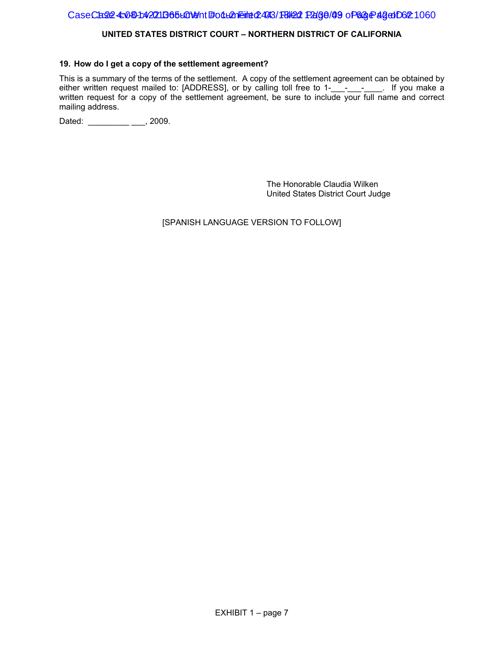#### CaseCase4: 08-1:4221 B65+014 http://den.Filed: 443/18/22 Page/09 of 63 Page 1062 1060

#### **UNITED STATES DISTRICT COURT – NORTHERN DISTRICT OF CALIFORNIA**

#### **19. How do I get a copy of the settlement agreement?**

This is a summary of the terms of the settlement. A copy of the settlement agreement can be obtained by either written request mailed to: [ADDRESS], or by calling toll free to 1-\_\_\_-\_\_\_\_\_\_. If you make a written request for a copy of the settlement agreement, be sure to include your full name and correct mailing address.

Dated: \_\_\_\_\_\_\_\_\_\_ \_\_\_, 2009.

The Honorable Claudia Wilken United States District Court Judge

[SPANISH LANGUAGE VERSION TO FOLLOW]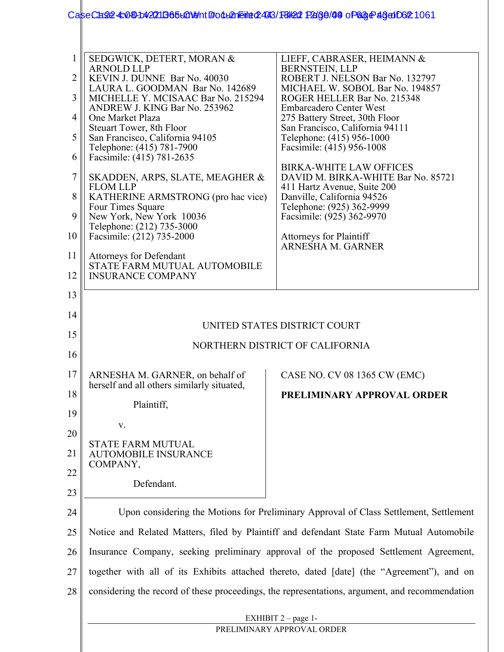## CaseCase: 4:08-1:42011365 LOMent #001 LAN Filed: 18/20 Page / 03 of 63 Page 46 df 062 1061

|    | SEDGWICK, DETERT, MORAN &<br><b>ARNOLD LLP</b>                                            | LIEFF, CABRASER, HEIMANN &<br><b>BERNSTEIN, LLP</b>                                            |  |
|----|-------------------------------------------------------------------------------------------|------------------------------------------------------------------------------------------------|--|
| 2  | KEVIN J. DUNNE Bar No. 40030<br>LAURA L. GOODMAN Bar No. 142689                           | ROBERT J. NELSON Bar No. 132797<br>MICHAEL W. SOBOL Bar No. 194857                             |  |
| 3  | MICHELLE Y. MCISAAC Bar No. 215294                                                        | ROGER HELLER Bar No. 215348                                                                    |  |
| 4  | ANDREW J. KING Bar No. 253962<br>One Market Plaza                                         | <b>Embarcadero Center West</b><br>275 Battery Street, 30th Floor                               |  |
| 5  | Steuart Tower, 8th Floor<br>San Francisco, California 94105                               | San Francisco, California 94111<br>Telephone: (415) 956-1000                                   |  |
| 6  | Telephone: (415) 781-7900<br>Facsimile: (415) 781-2635                                    | Facsimile: (415) 956-1008                                                                      |  |
| 7  | SKADDEN, ARPS, SLATE, MEAGHER &                                                           | <b>BIRKA-WHITE LAW OFFICES</b><br>DAVID M. BIRKA-WHITE Bar No. 85721                           |  |
| 8  | <b>FLOM LLP</b><br>KATHERINE ARMSTRONG (pro hac vice)                                     | 411 Hartz Avenue, Suite 200<br>Danville, California 94526                                      |  |
| 9  | Four Times Square<br>New York, New York 10036                                             | Telephone: (925) 362-9999<br>Facsimile: (925) 362-9970                                         |  |
| 10 | Telephone: (212) 735-3000<br>Facsimile: (212) 735-2000                                    | <b>Attorneys for Plaintiff</b><br>ARNESHA M. GARNER                                            |  |
| 11 | <b>Attorneys for Defendant</b><br>STATE FARM MUTUAL AUTOMOBILE                            |                                                                                                |  |
| 12 | <b>INSURANCE COMPANY</b>                                                                  |                                                                                                |  |
| 13 |                                                                                           |                                                                                                |  |
| 14 |                                                                                           | UNITED STATES DISTRICT COURT                                                                   |  |
| 15 |                                                                                           |                                                                                                |  |
| 16 | NORTHERN DISTRICT OF CALIFORNIA                                                           |                                                                                                |  |
| 17 | ARNESHA M. GARNER, on behalf of<br>herself and all others similarly situated,             | CASE NO. CV 08 1365 CW (EMC)                                                                   |  |
| 18 | Plaintiff,                                                                                | PRELIMINARY APPROVAL ORDER                                                                     |  |
| 19 | V.                                                                                        |                                                                                                |  |
| 20 |                                                                                           |                                                                                                |  |
| 21 | <b>STATE FARM MUTUAL</b><br><b>AUTOMOBILE INSURANCE</b><br>COMPANY,                       |                                                                                                |  |
| 22 |                                                                                           |                                                                                                |  |
| 23 | Defendant.                                                                                |                                                                                                |  |
| 24 | Upon considering the Motions for Preliminary Approval of Class Settlement, Settlement     |                                                                                                |  |
| 25 | Notice and Related Matters, filed by Plaintiff and defendant State Farm Mutual Automobile |                                                                                                |  |
| 26 | Insurance Company, seeking preliminary approval of the proposed Settlement Agreement,     |                                                                                                |  |
| 27 |                                                                                           | together with all of its Exhibits attached thereto, dated [date] (the "Agreement"), and on     |  |
| 28 |                                                                                           | considering the record of these proceedings, the representations, argument, and recommendation |  |
|    |                                                                                           | EXHIBIT $2$ – page 1-                                                                          |  |
|    |                                                                                           | PRELIMINARY APPROVAL ORDER                                                                     |  |
|    |                                                                                           |                                                                                                |  |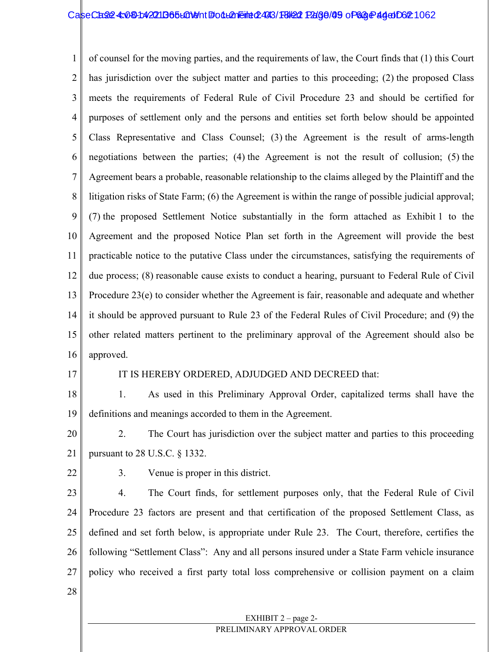1 2 3 4 5 6 7 8 9 10 11 12 13 14 15 16 of counsel for the moving parties, and the requirements of law, the Court finds that (1) this Court has jurisdiction over the subject matter and parties to this proceeding; (2) the proposed Class meets the requirements of Federal Rule of Civil Procedure 23 and should be certified for purposes of settlement only and the persons and entities set forth below should be appointed Class Representative and Class Counsel; (3) the Agreement is the result of arms-length negotiations between the parties; (4) the Agreement is not the result of collusion; (5) the Agreement bears a probable, reasonable relationship to the claims alleged by the Plaintiff and the litigation risks of State Farm; (6) the Agreement is within the range of possible judicial approval; (7) the proposed Settlement Notice substantially in the form attached as Exhibit 1 to the Agreement and the proposed Notice Plan set forth in the Agreement will provide the best practicable notice to the putative Class under the circumstances, satisfying the requirements of due process; (8) reasonable cause exists to conduct a hearing, pursuant to Federal Rule of Civil Procedure 23(e) to consider whether the Agreement is fair, reasonable and adequate and whether it should be approved pursuant to Rule 23 of the Federal Rules of Civil Procedure; and (9) the other related matters pertinent to the preliminary approval of the Agreement should also be approved.

17

#### IT IS HEREBY ORDERED, ADJUDGED AND DECREED that:

18 19 1. As used in this Preliminary Approval Order, capitalized terms shall have the definitions and meanings accorded to them in the Agreement.

20 21 2. The Court has jurisdiction over the subject matter and parties to this proceeding pursuant to 28 U.S.C. § 1332.

22

3. Venue is proper in this district.

23 24 25 26 27 4. The Court finds, for settlement purposes only, that the Federal Rule of Civil Procedure 23 factors are present and that certification of the proposed Settlement Class, as defined and set forth below, is appropriate under Rule 23. The Court, therefore, certifies the following "Settlement Class": Any and all persons insured under a State Farm vehicle insurance policy who received a first party total loss comprehensive or collision payment on a claim

28

#### EXHIBIT 2 – page 2-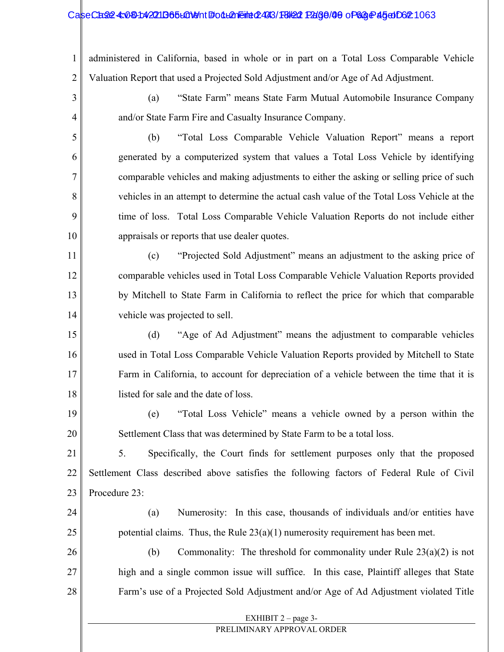#### CaseCase: 4:081:42211365LGN9ht #: 04L2n Filmed: 493/18/22 Page/00 of 63 Page 45 of Document 24

1 2 administered in California, based in whole or in part on a Total Loss Comparable Vehicle Valuation Report that used a Projected Sold Adjustment and/or Age of Ad Adjustment.

- (a) "State Farm" means State Farm Mutual Automobile Insurance Company and/or State Farm Fire and Casualty Insurance Company.
- 5

6

7

8

9

10

19

20

3

4

(b) "Total Loss Comparable Vehicle Valuation Report" means a report generated by a computerized system that values a Total Loss Vehicle by identifying comparable vehicles and making adjustments to either the asking or selling price of such vehicles in an attempt to determine the actual cash value of the Total Loss Vehicle at the time of loss. Total Loss Comparable Vehicle Valuation Reports do not include either appraisals or reports that use dealer quotes.

11 12 13 14 (c) "Projected Sold Adjustment" means an adjustment to the asking price of comparable vehicles used in Total Loss Comparable Vehicle Valuation Reports provided by Mitchell to State Farm in California to reflect the price for which that comparable vehicle was projected to sell.

15 16 17 18 (d) "Age of Ad Adjustment" means the adjustment to comparable vehicles used in Total Loss Comparable Vehicle Valuation Reports provided by Mitchell to State Farm in California, to account for depreciation of a vehicle between the time that it is listed for sale and the date of loss.

(e) "Total Loss Vehicle" means a vehicle owned by a person within the Settlement Class that was determined by State Farm to be a total loss.

21 22 23 5. Specifically, the Court finds for settlement purposes only that the proposed Settlement Class described above satisfies the following factors of Federal Rule of Civil Procedure 23:

24 25 (a) Numerosity: In this case, thousands of individuals and/or entities have potential claims. Thus, the Rule  $23(a)(1)$  numerosity requirement has been met.

26 27 28 (b) Commonality: The threshold for commonality under Rule  $23(a)(2)$  is not high and a single common issue will suffice. In this case, Plaintiff alleges that State Farm's use of a Projected Sold Adjustment and/or Age of Ad Adjustment violated Title

#### EXHIBIT 2 – page 3-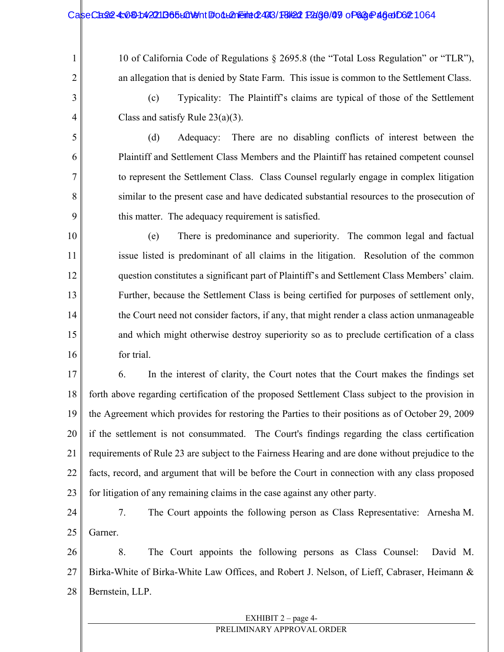#### CaseCase: 4:081:42211365LGN9nt #odL2neint 2493/F8/22 Page/09 of 68 Page 46 of D62 1064

10 of California Code of Regulations § 2695.8 (the "Total Loss Regulation" or "TLR"), an allegation that is denied by State Farm. This issue is common to the Settlement Class.

3 4

5

6

7

8

9

1

2

(c) Typicality: The Plaintiff's claims are typical of those of the Settlement Class and satisfy Rule  $23(a)(3)$ .

(d) Adequacy: There are no disabling conflicts of interest between the Plaintiff and Settlement Class Members and the Plaintiff has retained competent counsel to represent the Settlement Class. Class Counsel regularly engage in complex litigation similar to the present case and have dedicated substantial resources to the prosecution of this matter. The adequacy requirement is satisfied.

10 11 12 13 14 15 16 (e) There is predominance and superiority. The common legal and factual issue listed is predominant of all claims in the litigation. Resolution of the common question constitutes a significant part of Plaintiff's and Settlement Class Members' claim. Further, because the Settlement Class is being certified for purposes of settlement only, the Court need not consider factors, if any, that might render a class action unmanageable and which might otherwise destroy superiority so as to preclude certification of a class for trial.

17 18 19 20 21 22 23 6. In the interest of clarity, the Court notes that the Court makes the findings set forth above regarding certification of the proposed Settlement Class subject to the provision in the Agreement which provides for restoring the Parties to their positions as of October 29, 2009 if the settlement is not consummated. The Court's findings regarding the class certification requirements of Rule 23 are subject to the Fairness Hearing and are done without prejudice to the facts, record, and argument that will be before the Court in connection with any class proposed for litigation of any remaining claims in the case against any other party.

24 25 7. The Court appoints the following person as Class Representative: Arnesha M. Garner.

26 27 28 8. The Court appoints the following persons as Class Counsel: David M. Birka-White of Birka-White Law Offices, and Robert J. Nelson, of Lieff, Cabraser, Heimann & Bernstein, LLP.

### EXHIBIT  $2$  – page 4-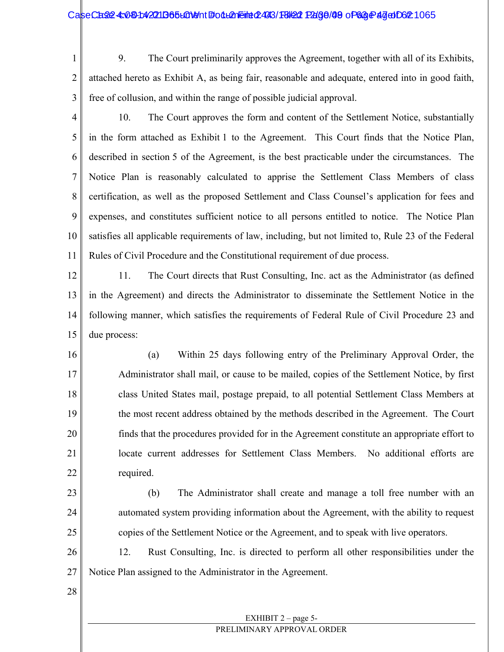#### CaseCase: 4:081:42211B65L01911 FolLeneine 2493/18/22 Page/09 of 63 Page 47 of 062 1065

1 2 3 9. The Court preliminarily approves the Agreement, together with all of its Exhibits, attached hereto as Exhibit A, as being fair, reasonable and adequate, entered into in good faith, free of collusion, and within the range of possible judicial approval.

4 5 6 7 8 9 10 11 10. The Court approves the form and content of the Settlement Notice, substantially in the form attached as Exhibit 1 to the Agreement. This Court finds that the Notice Plan, described in section 5 of the Agreement, is the best practicable under the circumstances. The Notice Plan is reasonably calculated to apprise the Settlement Class Members of class certification, as well as the proposed Settlement and Class Counsel's application for fees and expenses, and constitutes sufficient notice to all persons entitled to notice. The Notice Plan satisfies all applicable requirements of law, including, but not limited to, Rule 23 of the Federal Rules of Civil Procedure and the Constitutional requirement of due process.

12 13 14 15 11. The Court directs that Rust Consulting, Inc. act as the Administrator (as defined in the Agreement) and directs the Administrator to disseminate the Settlement Notice in the following manner, which satisfies the requirements of Federal Rule of Civil Procedure 23 and due process:

16 17 18 19 20 21 22 (a) Within 25 days following entry of the Preliminary Approval Order, the Administrator shall mail, or cause to be mailed, copies of the Settlement Notice, by first class United States mail, postage prepaid, to all potential Settlement Class Members at the most recent address obtained by the methods described in the Agreement. The Court finds that the procedures provided for in the Agreement constitute an appropriate effort to locate current addresses for Settlement Class Members. No additional efforts are required.

23 24

25

(b) The Administrator shall create and manage a toll free number with an automated system providing information about the Agreement, with the ability to request copies of the Settlement Notice or the Agreement, and to speak with live operators.

26 27 12. Rust Consulting, Inc. is directed to perform all other responsibilities under the Notice Plan assigned to the Administrator in the Agreement.

28

## EXHIBIT 2 – page 5-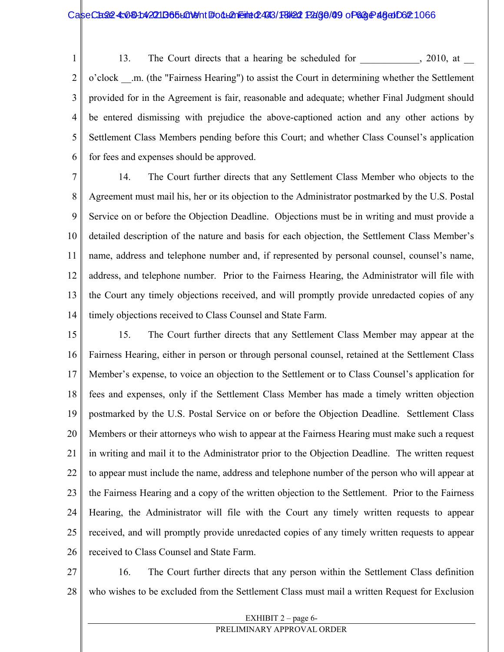#### CaseCase: 4:081:42211B65L01911 Follemeint 2493/18/22 Page/99 of 63 Page 46 of 02:1066

1 2 3 4 5 6 13. The Court directs that a hearing be scheduled for  $\qquad \qquad , 2010, \text{ at }$ o'clock \_\_.m. (the "Fairness Hearing") to assist the Court in determining whether the Settlement provided for in the Agreement is fair, reasonable and adequate; whether Final Judgment should be entered dismissing with prejudice the above-captioned action and any other actions by Settlement Class Members pending before this Court; and whether Class Counsel's application for fees and expenses should be approved.

7 8 9 10 11 12 13 14 14. The Court further directs that any Settlement Class Member who objects to the Agreement must mail his, her or its objection to the Administrator postmarked by the U.S. Postal Service on or before the Objection Deadline. Objections must be in writing and must provide a detailed description of the nature and basis for each objection, the Settlement Class Member's name, address and telephone number and, if represented by personal counsel, counsel's name, address, and telephone number. Prior to the Fairness Hearing, the Administrator will file with the Court any timely objections received, and will promptly provide unredacted copies of any timely objections received to Class Counsel and State Farm.

15 16 17 18 19 20 21 22 23 24 25 26 15. The Court further directs that any Settlement Class Member may appear at the Fairness Hearing, either in person or through personal counsel, retained at the Settlement Class Member's expense, to voice an objection to the Settlement or to Class Counsel's application for fees and expenses, only if the Settlement Class Member has made a timely written objection postmarked by the U.S. Postal Service on or before the Objection Deadline. Settlement Class Members or their attorneys who wish to appear at the Fairness Hearing must make such a request in writing and mail it to the Administrator prior to the Objection Deadline. The written request to appear must include the name, address and telephone number of the person who will appear at the Fairness Hearing and a copy of the written objection to the Settlement. Prior to the Fairness Hearing, the Administrator will file with the Court any timely written requests to appear received, and will promptly provide unredacted copies of any timely written requests to appear received to Class Counsel and State Farm.

27 28 16. The Court further directs that any person within the Settlement Class definition who wishes to be excluded from the Settlement Class must mail a written Request for Exclusion

#### EXHIBIT 2 – page 6-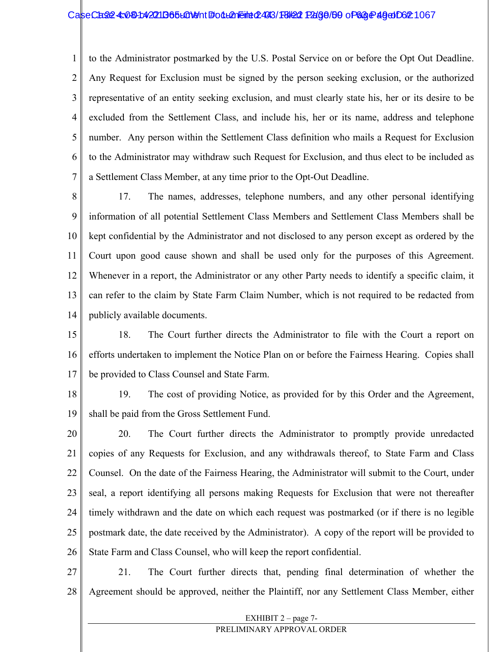#### CaseCase: 4:081:42211B65L01911 Follemeint 2493/18/22 Page/60 of 63 Page 49 of 062 1067

1 2 3 4 5 6 7 to the Administrator postmarked by the U.S. Postal Service on or before the Opt Out Deadline. Any Request for Exclusion must be signed by the person seeking exclusion, or the authorized representative of an entity seeking exclusion, and must clearly state his, her or its desire to be excluded from the Settlement Class, and include his, her or its name, address and telephone number. Any person within the Settlement Class definition who mails a Request for Exclusion to the Administrator may withdraw such Request for Exclusion, and thus elect to be included as a Settlement Class Member, at any time prior to the Opt-Out Deadline.

8 9 10 11 12 13 14 17. The names, addresses, telephone numbers, and any other personal identifying information of all potential Settlement Class Members and Settlement Class Members shall be kept confidential by the Administrator and not disclosed to any person except as ordered by the Court upon good cause shown and shall be used only for the purposes of this Agreement. Whenever in a report, the Administrator or any other Party needs to identify a specific claim, it can refer to the claim by State Farm Claim Number, which is not required to be redacted from publicly available documents.

15 16 17 18. The Court further directs the Administrator to file with the Court a report on efforts undertaken to implement the Notice Plan on or before the Fairness Hearing. Copies shall be provided to Class Counsel and State Farm.

18 19 19. The cost of providing Notice, as provided for by this Order and the Agreement, shall be paid from the Gross Settlement Fund.

20 21 22 23 24 25 26 20. The Court further directs the Administrator to promptly provide unredacted copies of any Requests for Exclusion, and any withdrawals thereof, to State Farm and Class Counsel. On the date of the Fairness Hearing, the Administrator will submit to the Court, under seal, a report identifying all persons making Requests for Exclusion that were not thereafter timely withdrawn and the date on which each request was postmarked (or if there is no legible postmark date, the date received by the Administrator). A copy of the report will be provided to State Farm and Class Counsel, who will keep the report confidential.

27 28 21. The Court further directs that, pending final determination of whether the Agreement should be approved, neither the Plaintiff, nor any Settlement Class Member, either

#### EXHIBIT  $2$  – page 7-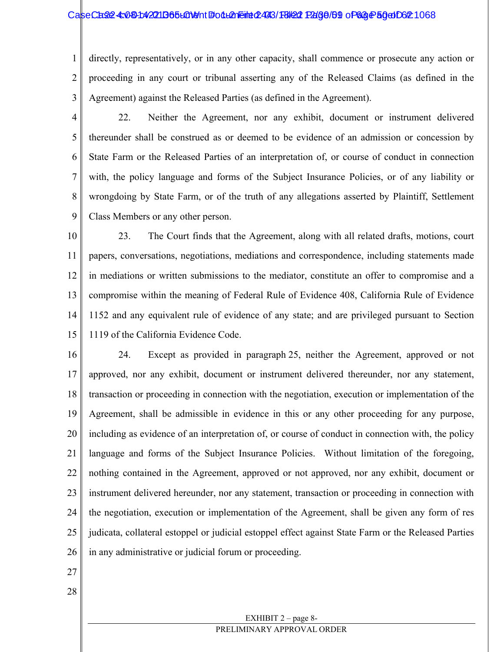#### CaseCase4: 0304042211365L01011 #00LA1Eint 02493/18/202 Page/69 of 63 Page 50 of 621 068

1 2 3 directly, representatively, or in any other capacity, shall commence or prosecute any action or proceeding in any court or tribunal asserting any of the Released Claims (as defined in the Agreement) against the Released Parties (as defined in the Agreement).

4 5 6 7 8 9 22. Neither the Agreement, nor any exhibit, document or instrument delivered thereunder shall be construed as or deemed to be evidence of an admission or concession by State Farm or the Released Parties of an interpretation of, or course of conduct in connection with, the policy language and forms of the Subject Insurance Policies, or of any liability or wrongdoing by State Farm, or of the truth of any allegations asserted by Plaintiff, Settlement Class Members or any other person.

10 11 12 13 14 15 23. The Court finds that the Agreement, along with all related drafts, motions, court papers, conversations, negotiations, mediations and correspondence, including statements made in mediations or written submissions to the mediator, constitute an offer to compromise and a compromise within the meaning of Federal Rule of Evidence 408, California Rule of Evidence 1152 and any equivalent rule of evidence of any state; and are privileged pursuant to Section 1119 of the California Evidence Code.

16 17 18 19 20 21 22 23 24 25 26 24. Except as provided in paragraph 25, neither the Agreement, approved or not approved, nor any exhibit, document or instrument delivered thereunder, nor any statement, transaction or proceeding in connection with the negotiation, execution or implementation of the Agreement, shall be admissible in evidence in this or any other proceeding for any purpose, including as evidence of an interpretation of, or course of conduct in connection with, the policy language and forms of the Subject Insurance Policies. Without limitation of the foregoing, nothing contained in the Agreement, approved or not approved, nor any exhibit, document or instrument delivered hereunder, nor any statement, transaction or proceeding in connection with the negotiation, execution or implementation of the Agreement, shall be given any form of res judicata, collateral estoppel or judicial estoppel effect against State Farm or the Released Parties in any administrative or judicial forum or proceeding.

- 27
- 28

#### EXHIBIT 2 – page 8- PRELIMINARY APPROVAL ORDER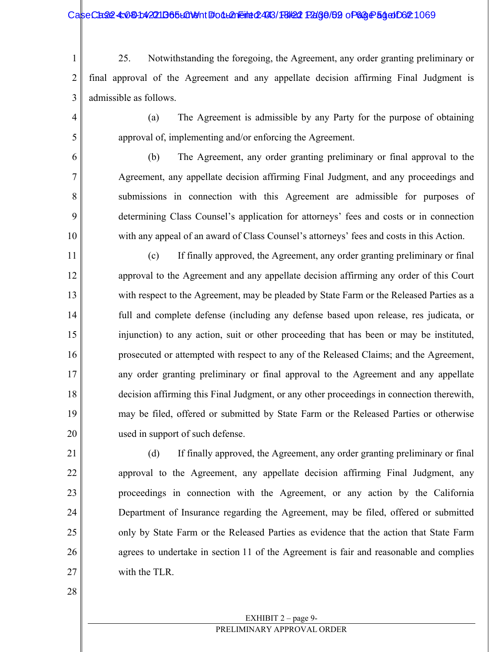#### CaseCase: 4:081:42211365L01911 Foll=21969/Halled: 0469 Page 64:000 Page 54:0002 1069

1 2 3 25. Notwithstanding the foregoing, the Agreement, any order granting preliminary or final approval of the Agreement and any appellate decision affirming Final Judgment is admissible as follows.

(a) The Agreement is admissible by any Party for the purpose of obtaining approval of, implementing and/or enforcing the Agreement.

(b) The Agreement, any order granting preliminary or final approval to the Agreement, any appellate decision affirming Final Judgment, and any proceedings and submissions in connection with this Agreement are admissible for purposes of determining Class Counsel's application for attorneys' fees and costs or in connection with any appeal of an award of Class Counsel's attorneys' fees and costs in this Action.

11 12 13 14 15 16 17 18 19 20 (c) If finally approved, the Agreement, any order granting preliminary or final approval to the Agreement and any appellate decision affirming any order of this Court with respect to the Agreement, may be pleaded by State Farm or the Released Parties as a full and complete defense (including any defense based upon release, res judicata, or injunction) to any action, suit or other proceeding that has been or may be instituted, prosecuted or attempted with respect to any of the Released Claims; and the Agreement, any order granting preliminary or final approval to the Agreement and any appellate decision affirming this Final Judgment, or any other proceedings in connection therewith, may be filed, offered or submitted by State Farm or the Released Parties or otherwise used in support of such defense.

(d) If finally approved, the Agreement, any order granting preliminary or final approval to the Agreement, any appellate decision affirming Final Judgment, any proceedings in connection with the Agreement, or any action by the California Department of Insurance regarding the Agreement, may be filed, offered or submitted only by State Farm or the Released Parties as evidence that the action that State Farm agrees to undertake in section 11 of the Agreement is fair and reasonable and complies with the TLR.

28

21

22

23

24

25

26

27

4

5

6

7

8

9

10

#### EXHIBIT  $2$  – page 9-PRELIMINARY APPROVAL ORDER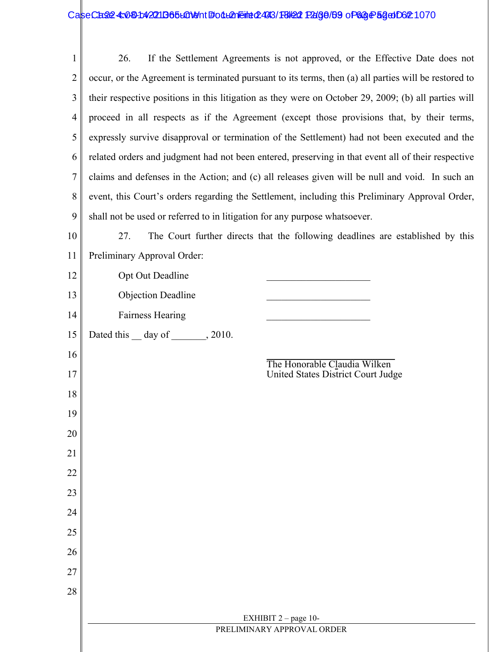| 1              | If the Settlement Agreements is not approved, or the Effective Date does not<br>26.                   |  |  |
|----------------|-------------------------------------------------------------------------------------------------------|--|--|
| $\overline{2}$ | occur, or the Agreement is terminated pursuant to its terms, then (a) all parties will be restored to |  |  |
| 3              | their respective positions in this litigation as they were on October 29, 2009; (b) all parties will  |  |  |
| 4              | proceed in all respects as if the Agreement (except those provisions that, by their terms,            |  |  |
| 5              | expressly survive disapproval or termination of the Settlement) had not been executed and the         |  |  |
| 6              | related orders and judgment had not been entered, preserving in that event all of their respective    |  |  |
| 7              | claims and defenses in the Action; and (c) all releases given will be null and void. In such an       |  |  |
| 8              | event, this Court's orders regarding the Settlement, including this Preliminary Approval Order,       |  |  |
| 9              | shall not be used or referred to in litigation for any purpose whatsoever.                            |  |  |
| 10             | 27.<br>The Court further directs that the following deadlines are established by this                 |  |  |
| 11             | Preliminary Approval Order:                                                                           |  |  |
| 12             | Opt Out Deadline                                                                                      |  |  |
| 13             | <b>Objection Deadline</b>                                                                             |  |  |
| 14             | <b>Fairness Hearing</b>                                                                               |  |  |
| 15             | Dated this $\_\$ day of $\_\_\_\_$ , 2010.                                                            |  |  |
| 16             | The Honorable Claudia Wilken                                                                          |  |  |
| 17             | United States District Court Judge                                                                    |  |  |
| 18             |                                                                                                       |  |  |
| 19             |                                                                                                       |  |  |
| 20             |                                                                                                       |  |  |
| 21             |                                                                                                       |  |  |
| 22             |                                                                                                       |  |  |
| 23             |                                                                                                       |  |  |
| 24             |                                                                                                       |  |  |
| 25             |                                                                                                       |  |  |
| 26             |                                                                                                       |  |  |
| 27             |                                                                                                       |  |  |
| 28             |                                                                                                       |  |  |
|                | EXHIBIT $2$ – page 10-                                                                                |  |  |
|                | PRELIMINARY APPROVAL ORDER                                                                            |  |  |
|                |                                                                                                       |  |  |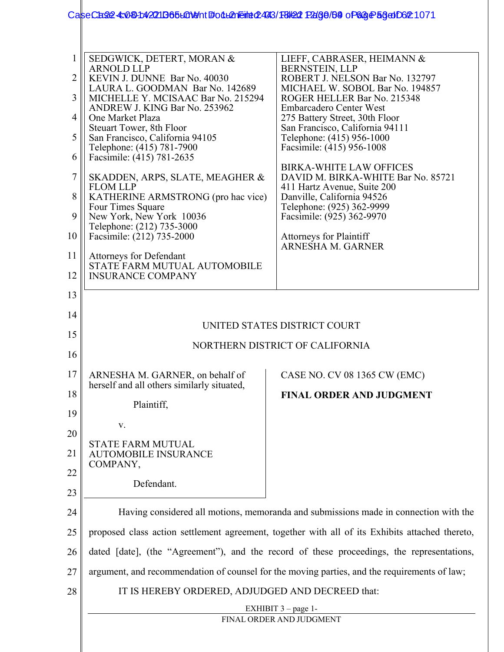## CaseCase: 4:08-1:42011365 LOMent #001 LANE interpediated: 031 Page / 53 of 63 Page 53 of 02 1071

|    | SEDGWICK, DETERT, MORAN &<br><b>ARNOLD LLP</b>                                                  | LIEFF, CABRASER, HEIMANN &<br><b>BERNSTEIN, LLP</b>                  |
|----|-------------------------------------------------------------------------------------------------|----------------------------------------------------------------------|
| 2  | KEVIN J. DUNNE Bar No. 40030                                                                    | ROBERT J. NELSON Bar No. 132797                                      |
| 3  | LAURA L. GOODMAN Bar No. 142689<br>MICHELLE Y. MCISAAC Bar No. 215294                           | MICHAEL W. SOBOL Bar No. 194857<br>ROGER HELLER Bar No. 215348       |
| 4  | ANDREW J. KING Bar No. 253962<br>One Market Plaza                                               | <b>Embarcadero Center West</b><br>275 Battery Street, 30th Floor     |
| 5  | Steuart Tower, 8th Floor<br>San Francisco, California 94105                                     | San Francisco, California 94111<br>Telephone: (415) 956-1000         |
| 6  | Telephone: (415) 781-7900<br>Facsimile: (415) 781-2635                                          | Facsimile: (415) 956-1008                                            |
| 7  | SKADDEN, ARPS, SLATE, MEAGHER &                                                                 | <b>BIRKA-WHITE LAW OFFICES</b><br>DAVID M. BIRKA-WHITE Bar No. 85721 |
| 8  | <b>FLOM LLP</b><br>KATHERINE ARMSTRONG (pro hac vice)                                           | 411 Hartz Avenue, Suite 200<br>Danville, California 94526            |
| 9  | Four Times Square<br>New York, New York 10036                                                   | Telephone: (925) 362-9999<br>Facsimile: (925) 362-9970               |
| 10 | Telephone: (212) 735-3000<br>Facsimile: (212) 735-2000                                          | <b>Attorneys for Plaintiff</b>                                       |
| 11 | <b>Attorneys for Defendant</b>                                                                  | <b>ARNESHA M. GARNER</b>                                             |
| 12 | STATE FARM MUTUAL AUTOMOBILE<br><b>INSURANCE COMPANY</b>                                        |                                                                      |
| 13 |                                                                                                 |                                                                      |
| 14 |                                                                                                 |                                                                      |
| 15 |                                                                                                 | UNITED STATES DISTRICT COURT                                         |
| 16 | NORTHERN DISTRICT OF CALIFORNIA                                                                 |                                                                      |
| 17 | ARNESHA M. GARNER, on behalf of                                                                 | CASE NO. CV 08 1365 CW (EMC)                                         |
| 18 | herself and all others similarly situated,                                                      | <b>FINAL ORDER AND JUDGMENT</b>                                      |
| 19 | Plaintiff,                                                                                      |                                                                      |
| 20 | V.                                                                                              |                                                                      |
| 21 | <b>STATE FARM MUTUAL</b><br><b>AUTOMOBILE INSURANCE</b>                                         |                                                                      |
| 22 | COMPANY,                                                                                        |                                                                      |
| 23 | Defendant.                                                                                      |                                                                      |
| 24 | Having considered all motions, memoranda and submissions made in connection with the            |                                                                      |
| 25 | proposed class action settlement agreement, together with all of its Exhibits attached thereto, |                                                                      |
| 26 | dated [date], (the "Agreement"), and the record of these proceedings, the representations,      |                                                                      |
| 27 | argument, and recommendation of counsel for the moving parties, and the requirements of law;    |                                                                      |
| 28 | IT IS HEREBY ORDERED, ADJUDGED AND DECREED that:                                                |                                                                      |
|    |                                                                                                 | EXHIBIT $3$ – page 1-                                                |
|    |                                                                                                 | FINAL ORDER AND JUDGMENT                                             |
|    |                                                                                                 |                                                                      |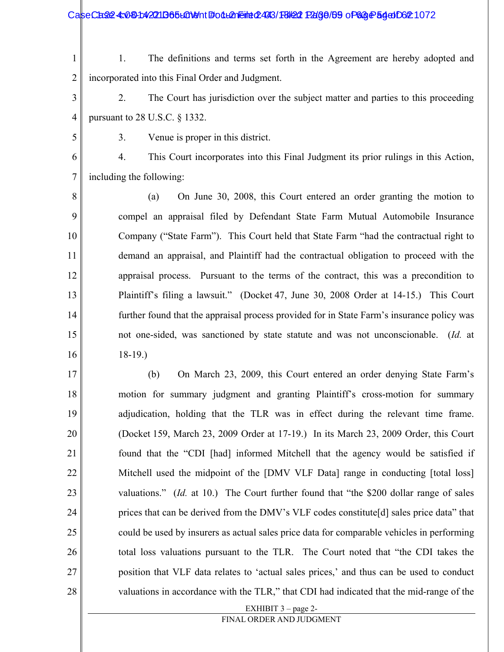CaseCase: 4:081:42211B65L019ht #odL21Eined2493/18/22 Page/69 of 63 Page 54 of 062 1072

- 1 2 1. The definitions and terms set forth in the Agreement are hereby adopted and incorporated into this Final Order and Judgment.
- 3 4 2. The Court has jurisdiction over the subject matter and parties to this proceeding pursuant to 28 U.S.C. § 1332.
- 5

3. Venue is proper in this district.

6 7 4. This Court incorporates into this Final Judgment its prior rulings in this Action, including the following:

8 9 10 11 12 13 14 15 16 (a) On June 30, 2008, this Court entered an order granting the motion to compel an appraisal filed by Defendant State Farm Mutual Automobile Insurance Company ("State Farm"). This Court held that State Farm "had the contractual right to demand an appraisal, and Plaintiff had the contractual obligation to proceed with the appraisal process. Pursuant to the terms of the contract, this was a precondition to Plaintiff's filing a lawsuit." (Docket 47, June 30, 2008 Order at 14-15.) This Court further found that the appraisal process provided for in State Farm's insurance policy was not one-sided, was sanctioned by state statute and was not unconscionable. (*Id.* at 18-19.)

17 18 19 20 21 22 23 24 25 26 27 28 (b) On March 23, 2009, this Court entered an order denying State Farm's motion for summary judgment and granting Plaintiff's cross-motion for summary adjudication, holding that the TLR was in effect during the relevant time frame. (Docket 159, March 23, 2009 Order at 17-19.) In its March 23, 2009 Order, this Court found that the "CDI [had] informed Mitchell that the agency would be satisfied if Mitchell used the midpoint of the [DMV VLF Data] range in conducting [total loss] valuations." (*Id.* at 10.) The Court further found that "the \$200 dollar range of sales prices that can be derived from the DMV's VLF codes constitute[d] sales price data" that could be used by insurers as actual sales price data for comparable vehicles in performing total loss valuations pursuant to the TLR. The Court noted that "the CDI takes the position that VLF data relates to 'actual sales prices,' and thus can be used to conduct valuations in accordance with the TLR," that CDI had indicated that the mid-range of the

EXHIBIT 3 – page 2-

FINAL ORDER AND JUDGMENT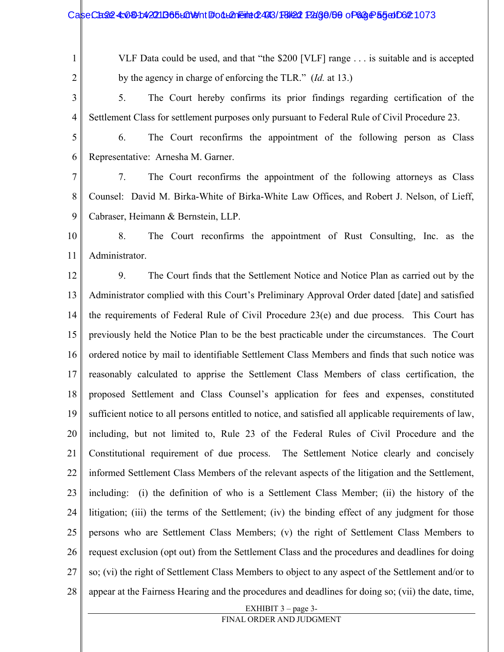#### CaseCase4: 080142211365LGNont #odLAneint 2493/FBI22 PAG0/50 of 68 Page 55 of 062 1073

1

2

VLF Data could be used, and that "the \$200 [VLF] range . . . is suitable and is accepted by the agency in charge of enforcing the TLR." (*Id.* at 13.)

3 4 5. The Court hereby confirms its prior findings regarding certification of the Settlement Class for settlement purposes only pursuant to Federal Rule of Civil Procedure 23.

5 6 6. The Court reconfirms the appointment of the following person as Class Representative: Arnesha M. Garner.

7 8 9 7. The Court reconfirms the appointment of the following attorneys as Class Counsel: David M. Birka-White of Birka-White Law Offices, and Robert J. Nelson, of Lieff, Cabraser, Heimann & Bernstein, LLP.

10 11 8. The Court reconfirms the appointment of Rust Consulting, Inc. as the Administrator.

EXHIBIT 3 – page 3- 12 13 14 15 16 17 18 19 20 21 22 23 24 25 26 27 28 9. The Court finds that the Settlement Notice and Notice Plan as carried out by the Administrator complied with this Court's Preliminary Approval Order dated [date] and satisfied the requirements of Federal Rule of Civil Procedure 23(e) and due process. This Court has previously held the Notice Plan to be the best practicable under the circumstances. The Court ordered notice by mail to identifiable Settlement Class Members and finds that such notice was reasonably calculated to apprise the Settlement Class Members of class certification, the proposed Settlement and Class Counsel's application for fees and expenses, constituted sufficient notice to all persons entitled to notice, and satisfied all applicable requirements of law, including, but not limited to, Rule 23 of the Federal Rules of Civil Procedure and the Constitutional requirement of due process. The Settlement Notice clearly and concisely informed Settlement Class Members of the relevant aspects of the litigation and the Settlement, including: (i) the definition of who is a Settlement Class Member; (ii) the history of the litigation; (iii) the terms of the Settlement; (iv) the binding effect of any judgment for those persons who are Settlement Class Members; (v) the right of Settlement Class Members to request exclusion (opt out) from the Settlement Class and the procedures and deadlines for doing so; (vi) the right of Settlement Class Members to object to any aspect of the Settlement and/or to appear at the Fairness Hearing and the procedures and deadlines for doing so; (vii) the date, time,

FINAL ORDER AND JUDGMENT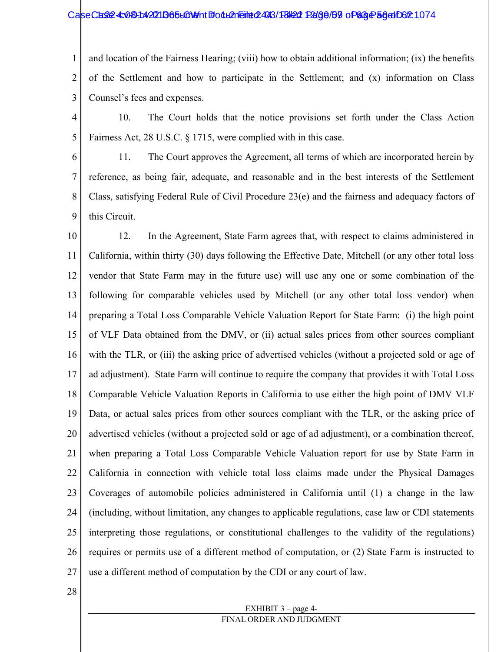#### CaseCase4: 0804: 42211965 LON9 http: 04 LA Reine 4:443/18/24 Page 69 of 63 Page 56 at D6 21074

1 2 3 and location of the Fairness Hearing; (viii) how to obtain additional information; (ix) the benefits of the Settlement and how to participate in the Settlement; and (x) information on Class Counsel's fees and expenses.

4 5 10. The Court holds that the notice provisions set forth under the Class Action Fairness Act, 28 U.S.C. § 1715, were complied with in this case.

6 7 8 9 11. The Court approves the Agreement, all terms of which are incorporated herein by reference, as being fair, adequate, and reasonable and in the best interests of the Settlement Class, satisfying Federal Rule of Civil Procedure 23(e) and the fairness and adequacy factors of this Circuit.

10 11 12 13 14 15 16 17 18 19 20 21 22 23 24 25 26 27 12. In the Agreement, State Farm agrees that, with respect to claims administered in California, within thirty (30) days following the Effective Date, Mitchell (or any other total loss vendor that State Farm may in the future use) will use any one or some combination of the following for comparable vehicles used by Mitchell (or any other total loss vendor) when preparing a Total Loss Comparable Vehicle Valuation Report for State Farm: (i) the high point of VLF Data obtained from the DMV, or (ii) actual sales prices from other sources compliant with the TLR, or (iii) the asking price of advertised vehicles (without a projected sold or age of ad adjustment). State Farm will continue to require the company that provides it with Total Loss Comparable Vehicle Valuation Reports in California to use either the high point of DMV VLF Data, or actual sales prices from other sources compliant with the TLR, or the asking price of advertised vehicles (without a projected sold or age of ad adjustment), or a combination thereof, when preparing a Total Loss Comparable Vehicle Valuation report for use by State Farm in California in connection with vehicle total loss claims made under the Physical Damages Coverages of automobile policies administered in California until (1) a change in the law (including, without limitation, any changes to applicable regulations, case law or CDI statements interpreting those regulations, or constitutional challenges to the validity of the regulations) requires or permits use of a different method of computation, or (2) State Farm is instructed to use a different method of computation by the CDI or any court of law.

28

#### EXHIBIT 3 – page 4- FINAL ORDER AND JUDGMENT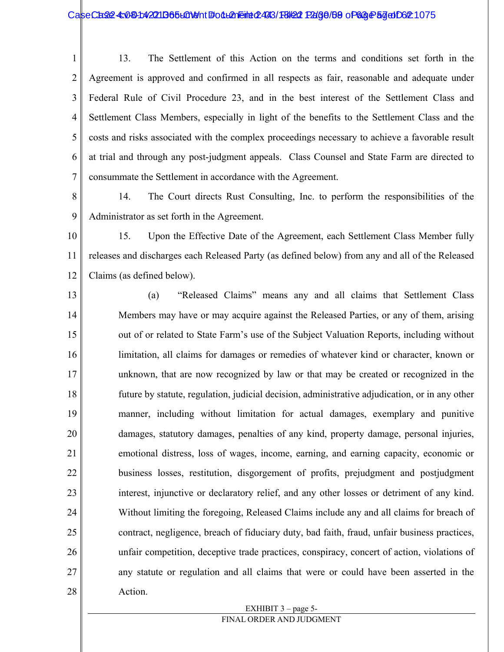#### CaseCase: 4:08142211365LGN9nt #odLAneint 2493/F8/22 Page/69 of 68 Page 57 of 062 1075

1 2 3 4 5 6 7 13. The Settlement of this Action on the terms and conditions set forth in the Agreement is approved and confirmed in all respects as fair, reasonable and adequate under Federal Rule of Civil Procedure 23, and in the best interest of the Settlement Class and Settlement Class Members, especially in light of the benefits to the Settlement Class and the costs and risks associated with the complex proceedings necessary to achieve a favorable result at trial and through any post-judgment appeals. Class Counsel and State Farm are directed to consummate the Settlement in accordance with the Agreement.

- 8 9 14. The Court directs Rust Consulting, Inc. to perform the responsibilities of the Administrator as set forth in the Agreement.
- 10 11 12 15. Upon the Effective Date of the Agreement, each Settlement Class Member fully releases and discharges each Released Party (as defined below) from any and all of the Released Claims (as defined below).
- 13 14 15 16 17 18 19 20 21 22 23 24 25 26 27 28 (a) "Released Claims" means any and all claims that Settlement Class Members may have or may acquire against the Released Parties, or any of them, arising out of or related to State Farm's use of the Subject Valuation Reports, including without limitation, all claims for damages or remedies of whatever kind or character, known or unknown, that are now recognized by law or that may be created or recognized in the future by statute, regulation, judicial decision, administrative adjudication, or in any other manner, including without limitation for actual damages, exemplary and punitive damages, statutory damages, penalties of any kind, property damage, personal injuries, emotional distress, loss of wages, income, earning, and earning capacity, economic or business losses, restitution, disgorgement of profits, prejudgment and postjudgment interest, injunctive or declaratory relief, and any other losses or detriment of any kind. Without limiting the foregoing, Released Claims include any and all claims for breach of contract, negligence, breach of fiduciary duty, bad faith, fraud, unfair business practices, unfair competition, deceptive trade practices, conspiracy, concert of action, violations of any statute or regulation and all claims that were or could have been asserted in the Action.

#### EXHIBIT 3 – page 5- FINAL ORDER AND JUDGMENT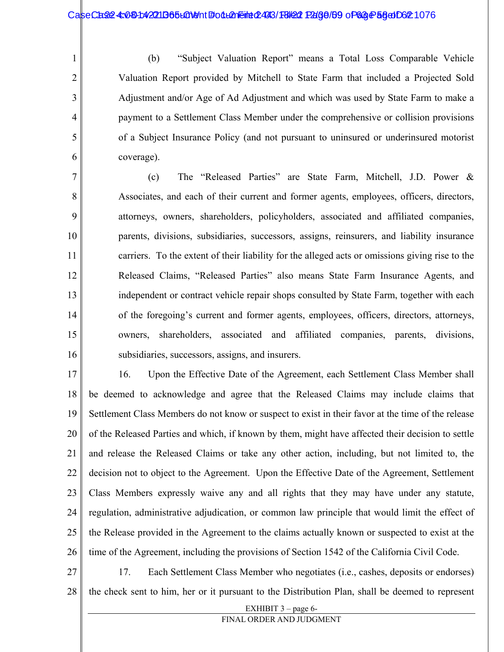1

2

3

4

5

6

(b) "Subject Valuation Report" means a Total Loss Comparable Vehicle Valuation Report provided by Mitchell to State Farm that included a Projected Sold Adjustment and/or Age of Ad Adjustment and which was used by State Farm to make a payment to a Settlement Class Member under the comprehensive or collision provisions of a Subject Insurance Policy (and not pursuant to uninsured or underinsured motorist coverage).

7 8 9 10 11 12 13 14 15 16 (c) The "Released Parties" are State Farm, Mitchell, J.D. Power & Associates, and each of their current and former agents, employees, officers, directors, attorneys, owners, shareholders, policyholders, associated and affiliated companies, parents, divisions, subsidiaries, successors, assigns, reinsurers, and liability insurance carriers. To the extent of their liability for the alleged acts or omissions giving rise to the Released Claims, "Released Parties" also means State Farm Insurance Agents, and independent or contract vehicle repair shops consulted by State Farm, together with each of the foregoing's current and former agents, employees, officers, directors, attorneys, owners, shareholders, associated and affiliated companies, parents, divisions, subsidiaries, successors, assigns, and insurers.

17 18 19 20 21 22 23 24 25 26 16. Upon the Effective Date of the Agreement, each Settlement Class Member shall be deemed to acknowledge and agree that the Released Claims may include claims that Settlement Class Members do not know or suspect to exist in their favor at the time of the release of the Released Parties and which, if known by them, might have affected their decision to settle and release the Released Claims or take any other action, including, but not limited to, the decision not to object to the Agreement. Upon the Effective Date of the Agreement, Settlement Class Members expressly waive any and all rights that they may have under any statute, regulation, administrative adjudication, or common law principle that would limit the effect of the Release provided in the Agreement to the claims actually known or suspected to exist at the time of the Agreement, including the provisions of Section 1542 of the California Civil Code.

27 28 17. Each Settlement Class Member who negotiates (i.e., cashes, deposits or endorses) the check sent to him, her or it pursuant to the Distribution Plan, shall be deemed to represent

EXHIBIT 3 – page 6-

FINAL ORDER AND JUDGMENT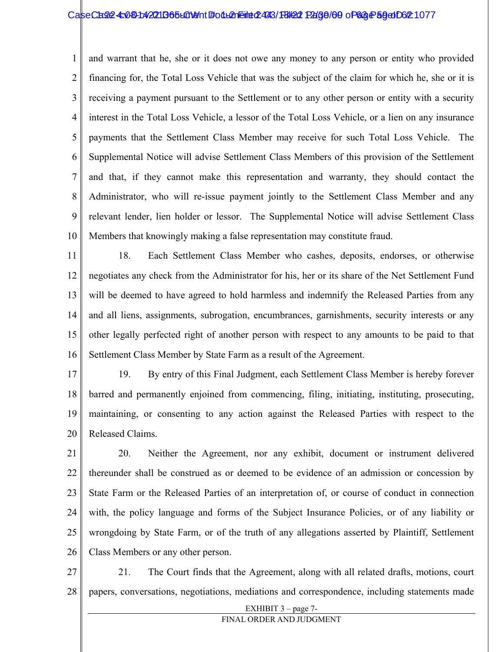#### CaseCase4: 03014221 D65L01911 Folleneine 2493/F8/22 Page / 69 of 63 Page 59 of 021

1 2 3 4 5 6 7 8 9 10 and warrant that he, she or it does not owe any money to any person or entity who provided financing for, the Total Loss Vehicle that was the subject of the claim for which he, she or it is receiving a payment pursuant to the Settlement or to any other person or entity with a security interest in the Total Loss Vehicle, a lessor of the Total Loss Vehicle, or a lien on any insurance payments that the Settlement Class Member may receive for such Total Loss Vehicle. The Supplemental Notice will advise Settlement Class Members of this provision of the Settlement and that, if they cannot make this representation and warranty, they should contact the Administrator, who will re-issue payment jointly to the Settlement Class Member and any relevant lender, lien holder or lessor. The Supplemental Notice will advise Settlement Class Members that knowingly making a false representation may constitute fraud.

11 12 13 14 15 16 18. Each Settlement Class Member who cashes, deposits, endorses, or otherwise negotiates any check from the Administrator for his, her or its share of the Net Settlement Fund will be deemed to have agreed to hold harmless and indemnify the Released Parties from any and all liens, assignments, subrogation, encumbrances, garnishments, security interests or any other legally perfected right of another person with respect to any amounts to be paid to that Settlement Class Member by State Farm as a result of the Agreement.

17 18 19 20 19. By entry of this Final Judgment, each Settlement Class Member is hereby forever barred and permanently enjoined from commencing, filing, initiating, instituting, prosecuting, maintaining, or consenting to any action against the Released Parties with respect to the Released Claims.

21 22 23 24 25 26 20. Neither the Agreement, nor any exhibit, document or instrument delivered thereunder shall be construed as or deemed to be evidence of an admission or concession by State Farm or the Released Parties of an interpretation of, or course of conduct in connection with, the policy language and forms of the Subject Insurance Policies, or of any liability or wrongdoing by State Farm, or of the truth of any allegations asserted by Plaintiff, Settlement Class Members or any other person.

27 28 21. The Court finds that the Agreement, along with all related drafts, motions, court papers, conversations, negotiations, mediations and correspondence, including statements made

> EXHIBIT 3 – page 7- FINAL ORDER AND JUDGMENT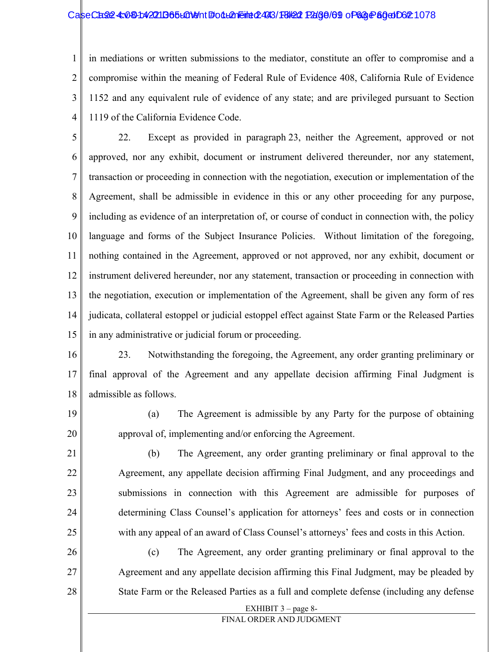#### CaseCase4: 030-1:42211365-LGNeht #od-L2n Filed: 1980 Page 109 of 63 Page 80 of 02:1078

1 2 3 4 in mediations or written submissions to the mediator, constitute an offer to compromise and a compromise within the meaning of Federal Rule of Evidence 408, California Rule of Evidence 1152 and any equivalent rule of evidence of any state; and are privileged pursuant to Section 1119 of the California Evidence Code.

5 6 7 8 9 10 11 12 13 14 15 22. Except as provided in paragraph 23, neither the Agreement, approved or not approved, nor any exhibit, document or instrument delivered thereunder, nor any statement, transaction or proceeding in connection with the negotiation, execution or implementation of the Agreement, shall be admissible in evidence in this or any other proceeding for any purpose, including as evidence of an interpretation of, or course of conduct in connection with, the policy language and forms of the Subject Insurance Policies. Without limitation of the foregoing, nothing contained in the Agreement, approved or not approved, nor any exhibit, document or instrument delivered hereunder, nor any statement, transaction or proceeding in connection with the negotiation, execution or implementation of the Agreement, shall be given any form of res judicata, collateral estoppel or judicial estoppel effect against State Farm or the Released Parties in any administrative or judicial forum or proceeding.

16 17 18 23. Notwithstanding the foregoing, the Agreement, any order granting preliminary or final approval of the Agreement and any appellate decision affirming Final Judgment is admissible as follows.

19

20

(a) The Agreement is admissible by any Party for the purpose of obtaining approval of, implementing and/or enforcing the Agreement.

21 22 23 24 25 (b) The Agreement, any order granting preliminary or final approval to the Agreement, any appellate decision affirming Final Judgment, and any proceedings and submissions in connection with this Agreement are admissible for purposes of determining Class Counsel's application for attorneys' fees and costs or in connection with any appeal of an award of Class Counsel's attorneys' fees and costs in this Action.

26 27 28 (c) The Agreement, any order granting preliminary or final approval to the Agreement and any appellate decision affirming this Final Judgment, may be pleaded by State Farm or the Released Parties as a full and complete defense (including any defense

EXHIBIT 3 – page 8-

FINAL ORDER AND JUDGMENT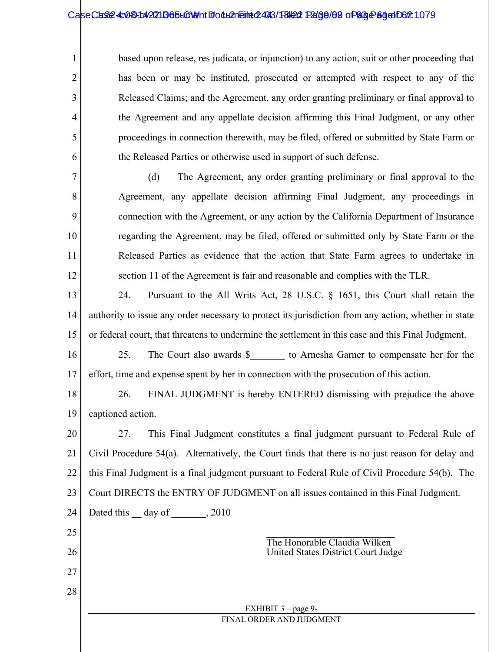#### CaseCase: 4:081:42211B65L01911 Follemeint 2493/18/22 Page/62 of 63 Page 84 of 062 1079

1

2

3

4

5

6

24

Dated this <u>day</u> of \_\_\_\_\_\_, 2010

25

26

27

28

based upon release, res judicata, or injunction) to any action, suit or other proceeding that has been or may be instituted, prosecuted or attempted with respect to any of the Released Claims; and the Agreement, any order granting preliminary or final approval to the Agreement and any appellate decision affirming this Final Judgment, or any other proceedings in connection therewith, may be filed, offered or submitted by State Farm or the Released Parties or otherwise used in support of such defense.

7 8 9 10 11 12 (d) The Agreement, any order granting preliminary or final approval to the Agreement, any appellate decision affirming Final Judgment, any proceedings in connection with the Agreement, or any action by the California Department of Insurance regarding the Agreement, may be filed, offered or submitted only by State Farm or the Released Parties as evidence that the action that State Farm agrees to undertake in section 11 of the Agreement is fair and reasonable and complies with the TLR.

13 14 15 24. Pursuant to the All Writs Act, 28 U.S.C. § 1651, this Court shall retain the authority to issue any order necessary to protect its jurisdiction from any action, whether in state or federal court, that threatens to undermine the settlement in this case and this Final Judgment.

16 17 25. The Court also awards \$ to Arnesha Garner to compensate her for the effort, time and expense spent by her in connection with the prosecution of this action.

18 19 26. FINAL JUDGMENT is hereby ENTERED dismissing with prejudice the above captioned action.

20 21 22 23 27. This Final Judgment constitutes a final judgment pursuant to Federal Rule of Civil Procedure 54(a). Alternatively, the Court finds that there is no just reason for delay and this Final Judgment is a final judgment pursuant to Federal Rule of Civil Procedure 54(b). The Court DIRECTS the ENTRY OF JUDGMENT on all issues contained in this Final Judgment.

> $\overline{\phantom{a}}$  , where  $\overline{\phantom{a}}$  , where  $\overline{\phantom{a}}$  , where  $\overline{\phantom{a}}$ The Honorable Claudia Wilken United States District Court Judge

EXHIBIT 3 – page 9- FINAL ORDER AND JUDGMENT